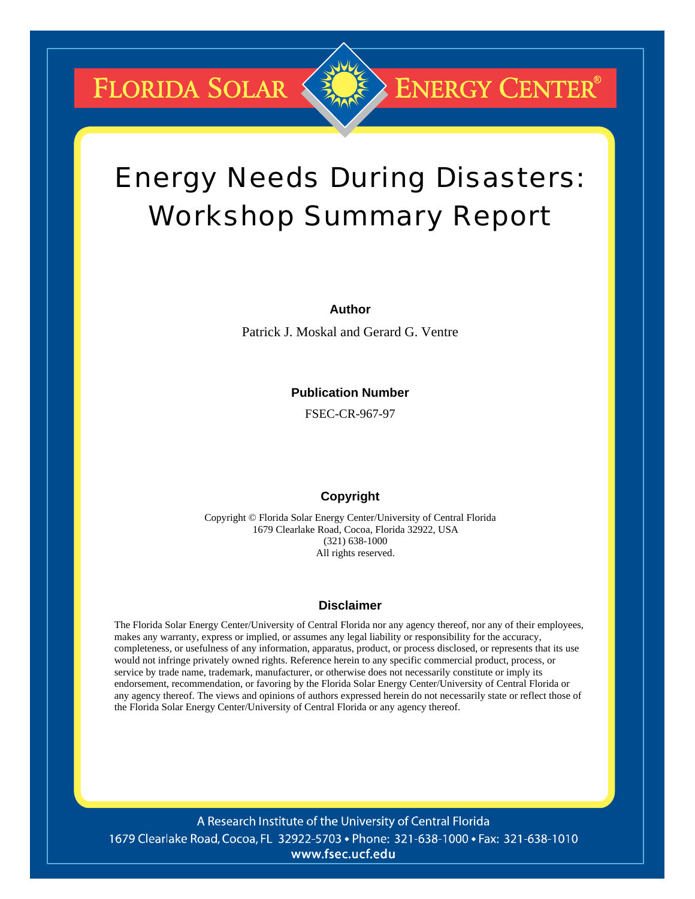FLORIDA SOLAR

# Energy Needs During Disasters: Workshop Summary Report

**ENERGY CENTER®** 

#### **Author**

Patrick J. Moskal and Gerard G. Ventre

#### **Publication Number**

FSEC-CR-967-97

#### **Copyright**

Copyright © Florida Solar Energy Center/University of Central Florida 1679 Clearlake Road, Cocoa, Florida 32922, USA (321) 638-1000 All rights reserved.

#### **Disclaimer**

The Florida Solar Energy Center/University of Central Florida nor any agency thereof, nor any of their employees, makes any warranty, express or implied, or assumes any legal liability or responsibility for the accuracy, completeness, or usefulness of any information, apparatus, product, or process disclosed, or represents that its use would not infringe privately owned rights. Reference herein to any specific commercial product, process, or service by trade name, trademark, manufacturer, or otherwise does not necessarily constitute or imply its endorsement, recommendation, or favoring by the Florida Solar Energy Center/University of Central Florida or any agency thereof. The views and opinions of authors expressed herein do not necessarily state or reflect those of the Florida Solar Energy Center/University of Central Florida or any agency thereof.

A Research Institute of the University of Central Florida 1679 Clearlake Road, Cocoa, FL 32922-5703 • Phone: 321-638-1000 • Fax: 321-638-1010 www.fsec.ucf.edu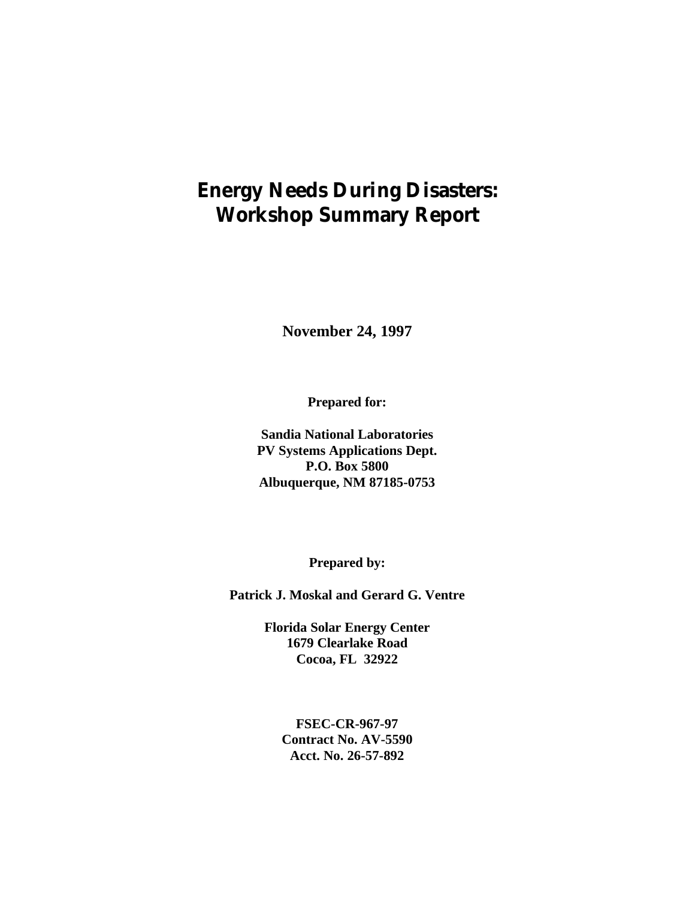# **Energy Needs During Disasters: Workshop Summary Report**

**November 24, 1997**

**Prepared for:**

**Sandia National Laboratories PV Systems Applications Dept. P.O. Box 5800 Albuquerque, NM 87185-0753**

**Prepared by:**

**Patrick J. Moskal and Gerard G. Ventre**

**Florida Solar Energy Center 1679 Clearlake Road Cocoa, FL 32922**

> **FSEC-CR-967-97 Contract No. AV-5590 Acct. No. 26-57-892**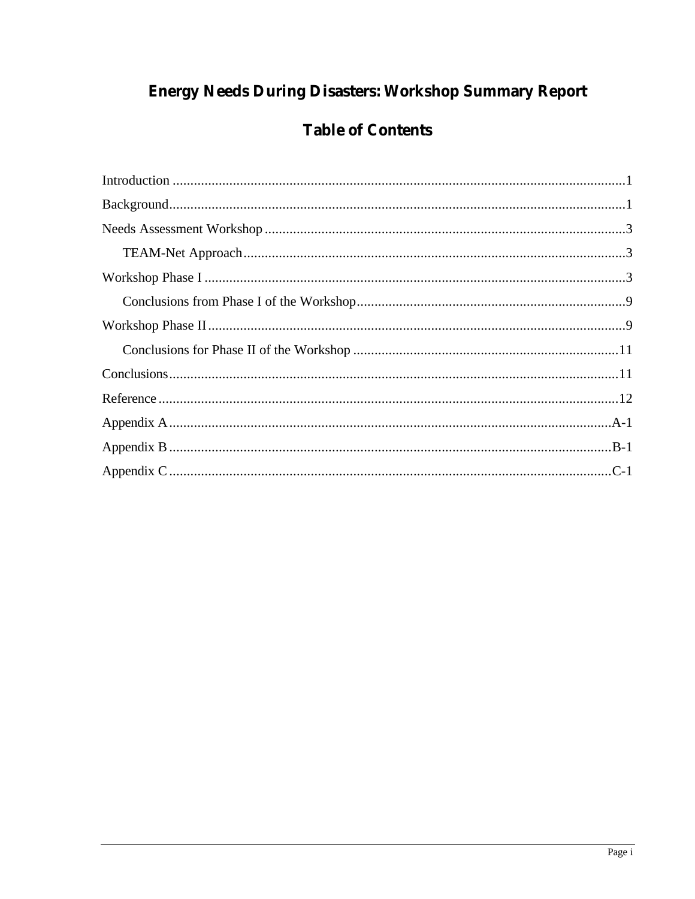# **Energy Needs During Disasters: Workshop Summary Report**

# **Table of Contents**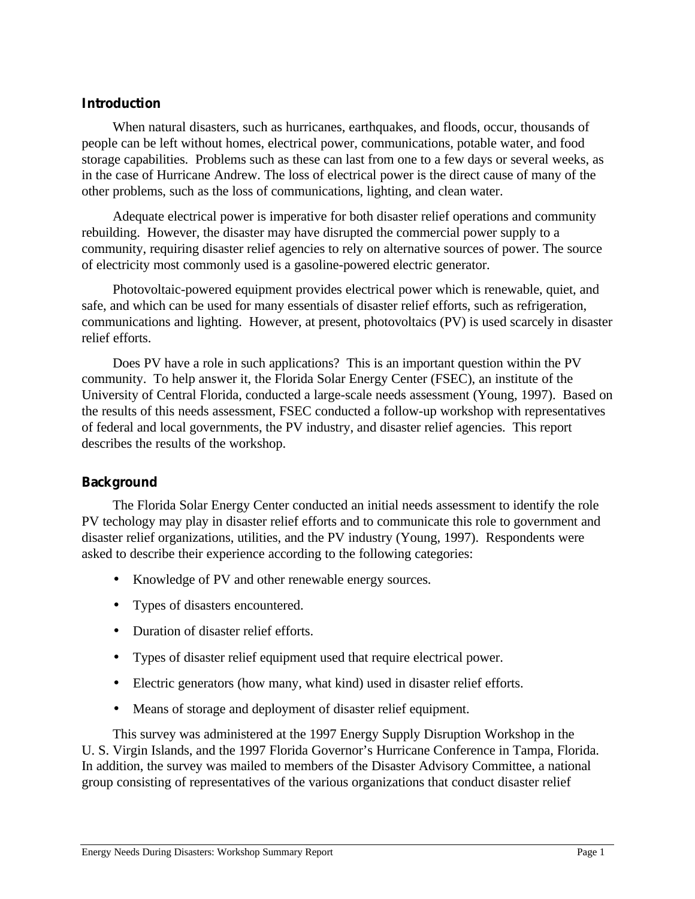# **Introduction**

When natural disasters, such as hurricanes, earthquakes, and floods, occur, thousands of people can be left without homes, electrical power, communications, potable water, and food storage capabilities. Problems such as these can last from one to a few days or several weeks, as in the case of Hurricane Andrew. The loss of electrical power is the direct cause of many of the other problems, such as the loss of communications, lighting, and clean water.

Adequate electrical power is imperative for both disaster relief operations and community rebuilding. However, the disaster may have disrupted the commercial power supply to a community, requiring disaster relief agencies to rely on alternative sources of power. The source of electricity most commonly used is a gasoline-powered electric generator.

Photovoltaic-powered equipment provides electrical power which is renewable, quiet, and safe, and which can be used for many essentials of disaster relief efforts, such as refrigeration, communications and lighting. However, at present, photovoltaics (PV) is used scarcely in disaster relief efforts.

Does PV have a role in such applications? This is an important question within the PV community. To help answer it, the Florida Solar Energy Center (FSEC), an institute of the University of Central Florida, conducted a large-scale needs assessment (Young, 1997). Based on the results of this needs assessment, FSEC conducted a follow-up workshop with representatives of federal and local governments, the PV industry, and disaster relief agencies. This report describes the results of the workshop.

# **Background**

The Florida Solar Energy Center conducted an initial needs assessment to identify the role PV techology may play in disaster relief efforts and to communicate this role to government and disaster relief organizations, utilities, and the PV industry (Young, 1997). Respondents were asked to describe their experience according to the following categories:

- Knowledge of PV and other renewable energy sources.
- Types of disasters encountered.
- Duration of disaster relief efforts.
- Types of disaster relief equipment used that require electrical power.
- Electric generators (how many, what kind) used in disaster relief efforts.
- Means of storage and deployment of disaster relief equipment.

This survey was administered at the 1997 Energy Supply Disruption Workshop in the U. S. Virgin Islands, and the 1997 Florida Governor's Hurricane Conference in Tampa, Florida. In addition, the survey was mailed to members of the Disaster Advisory Committee, a national group consisting of representatives of the various organizations that conduct disaster relief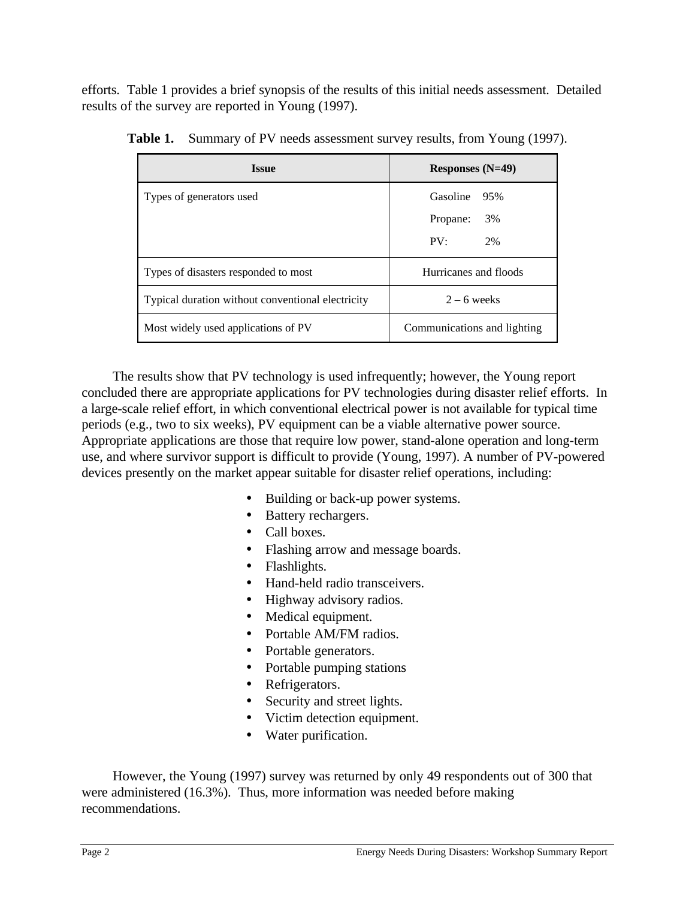efforts. Table 1 provides a brief synopsis of the results of this initial needs assessment. Detailed results of the survey are reported in Young (1997).

| <b>Issue</b>                                      | Responses $(N=49)$          |  |
|---------------------------------------------------|-----------------------------|--|
| Types of generators used                          | Gasoline<br>- 95%           |  |
|                                                   | 3%<br>Propane:              |  |
|                                                   | PV:<br>2%                   |  |
| Types of disasters responded to most              | Hurricanes and floods       |  |
| Typical duration without conventional electricity | $2 - 6$ weeks               |  |
| Most widely used applications of PV               | Communications and lighting |  |

Table 1. Summary of PV needs assessment survey results, from Young (1997).

The results show that PV technology is used infrequently; however, the Young report concluded there are appropriate applications for PV technologies during disaster relief efforts. In a large-scale relief effort, in which conventional electrical power is not available for typical time periods (e.g., two to six weeks), PV equipment can be a viable alternative power source. Appropriate applications are those that require low power, stand-alone operation and long-term use, and where survivor support is difficult to provide (Young, 1997). A number of PV-powered devices presently on the market appear suitable for disaster relief operations, including:

- Building or back-up power systems.
- Battery rechargers.
- Call boxes.
- Flashing arrow and message boards.
- Flashlights.
- Hand-held radio transceivers.
- Highway advisory radios.
- Medical equipment.
- Portable AM/FM radios.
- Portable generators.
- Portable pumping stations
- Refrigerators.
- Security and street lights.
- Victim detection equipment.
- Water purification.

However, the Young (1997) survey was returned by only 49 respondents out of 300 that were administered (16.3%). Thus, more information was needed before making recommendations.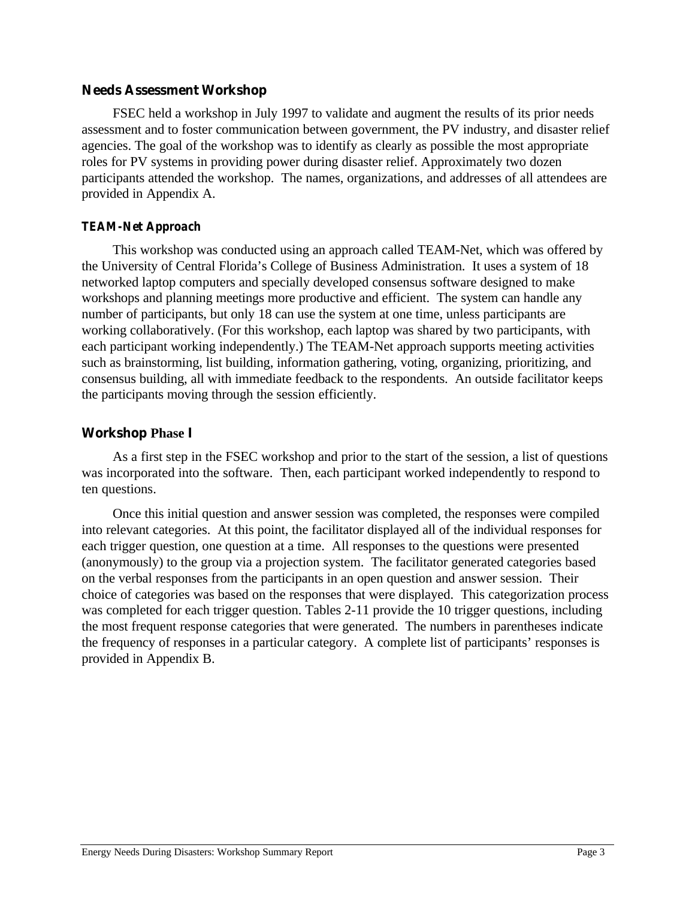## **Needs Assessment Workshop**

FSEC held a workshop in July 1997 to validate and augment the results of its prior needs assessment and to foster communication between government, the PV industry, and disaster relief agencies. The goal of the workshop was to identify as clearly as possible the most appropriate roles for PV systems in providing power during disaster relief. Approximately two dozen participants attended the workshop. The names, organizations, and addresses of all attendees are provided in Appendix A.

# *TEAM-Net Approach*

This workshop was conducted using an approach called TEAM-Net, which was offered by the University of Central Florida's College of Business Administration. It uses a system of 18 networked laptop computers and specially developed consensus software designed to make workshops and planning meetings more productive and efficient. The system can handle any number of participants, but only 18 can use the system at one time, unless participants are working collaboratively. (For this workshop, each laptop was shared by two participants, with each participant working independently.) The TEAM-Net approach supports meeting activities such as brainstorming, list building, information gathering, voting, organizing, prioritizing, and consensus building, all with immediate feedback to the respondents. An outside facilitator keeps the participants moving through the session efficiently.

# **Workshop Phase I**

As a first step in the FSEC workshop and prior to the start of the session, a list of questions was incorporated into the software. Then, each participant worked independently to respond to ten questions.

Once this initial question and answer session was completed, the responses were compiled into relevant categories. At this point, the facilitator displayed all of the individual responses for each trigger question, one question at a time. All responses to the questions were presented (anonymously) to the group via a projection system. The facilitator generated categories based on the verbal responses from the participants in an open question and answer session. Their choice of categories was based on the responses that were displayed. This categorization process was completed for each trigger question. Tables 2-11 provide the 10 trigger questions, including the most frequent response categories that were generated. The numbers in parentheses indicate the frequency of responses in a particular category. A complete list of participants' responses is provided in Appendix B.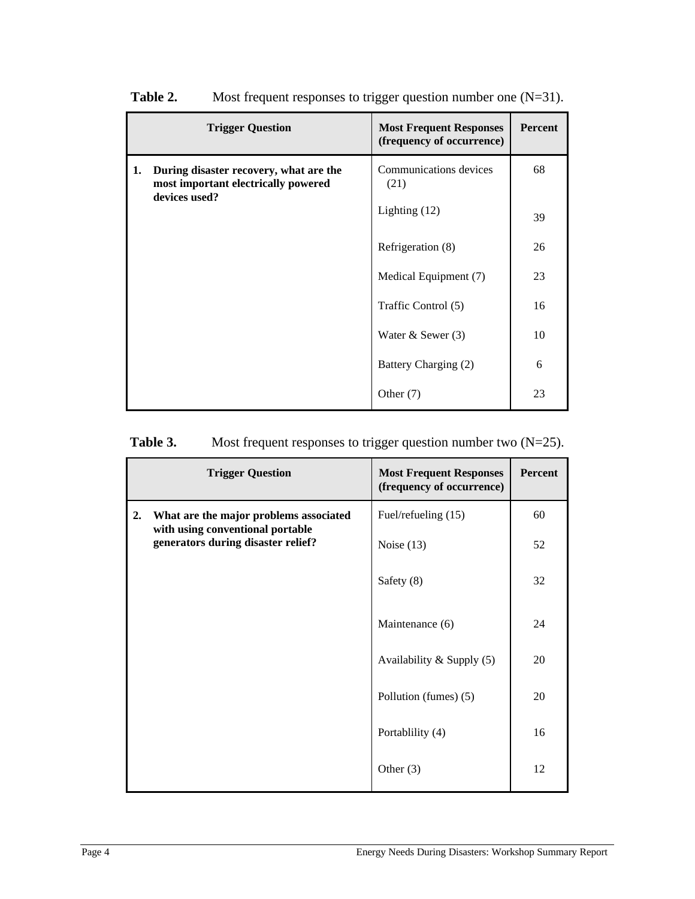|                                                                                                      | <b>Trigger Question</b>        | <b>Most Frequent Responses</b><br>(frequency of occurrence) | Percent |
|------------------------------------------------------------------------------------------------------|--------------------------------|-------------------------------------------------------------|---------|
| 1.<br>During disaster recovery, what are the<br>most important electrically powered<br>devices used? | Communications devices<br>(21) | 68                                                          |         |
|                                                                                                      | Lighting $(12)$                | 39                                                          |         |
|                                                                                                      | Refrigeration (8)              | 26                                                          |         |
|                                                                                                      |                                | Medical Equipment (7)                                       | 23      |
|                                                                                                      |                                | Traffic Control (5)                                         | 16      |
|                                                                                                      |                                | Water $&$ Sewer $(3)$                                       | 10      |
|                                                                                                      |                                | Battery Charging (2)                                        | 6       |
|                                                                                                      |                                | Other $(7)$                                                 | 23      |

**Table 2.** Most frequent responses to trigger question number one (N=31).

# **Table 3.** Most frequent responses to trigger question number two (N=25).

|                                                                                  | <b>Trigger Question</b>            | <b>Most Frequent Responses</b><br>(frequency of occurrence) | Percent |
|----------------------------------------------------------------------------------|------------------------------------|-------------------------------------------------------------|---------|
| 2.<br>What are the major problems associated<br>with using conventional portable | Fuel/refueling (15)                | 60                                                          |         |
|                                                                                  | generators during disaster relief? | Noise $(13)$                                                | 52      |
|                                                                                  |                                    | Safety (8)                                                  | 32      |
|                                                                                  |                                    | Maintenance (6)                                             | 24      |
|                                                                                  |                                    | Availability & Supply (5)                                   | 20      |
|                                                                                  |                                    | Pollution (fumes) (5)                                       | 20      |
|                                                                                  |                                    | Portablility (4)                                            | 16      |
|                                                                                  |                                    | Other $(3)$                                                 | 12      |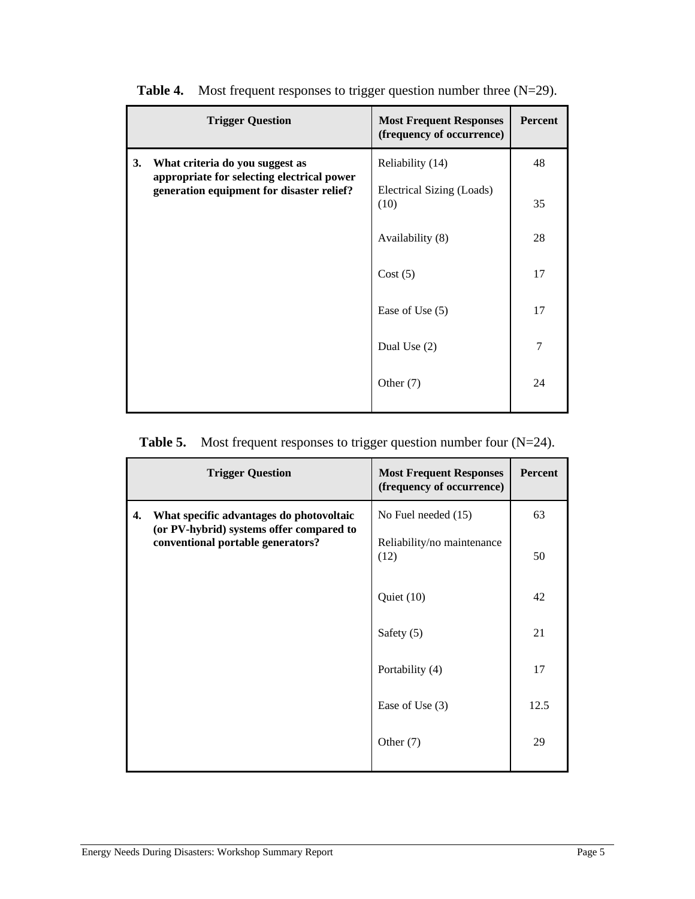|                                                                                                                                  | <b>Trigger Question</b>           | <b>Most Frequent Responses</b><br>(frequency of occurrence) | <b>Percent</b> |
|----------------------------------------------------------------------------------------------------------------------------------|-----------------------------------|-------------------------------------------------------------|----------------|
| 3.<br>What criteria do you suggest as<br>appropriate for selecting electrical power<br>generation equipment for disaster relief? | Reliability (14)                  | 48                                                          |                |
|                                                                                                                                  | Electrical Sizing (Loads)<br>(10) | 35                                                          |                |
|                                                                                                                                  |                                   | Availability (8)                                            | 28             |
|                                                                                                                                  |                                   | Cost(5)                                                     | 17             |
|                                                                                                                                  | Ease of Use $(5)$                 | 17                                                          |                |
|                                                                                                                                  |                                   | Dual Use $(2)$                                              | 7              |
|                                                                                                                                  |                                   | Other $(7)$                                                 | 24             |
|                                                                                                                                  |                                   |                                                             |                |

**Table 4.** Most frequent responses to trigger question number three (N=29).

# **Table 5.** Most frequent responses to trigger question number four (N=24).

|                                                                                                                                 | <b>Trigger Question</b>            | <b>Most Frequent Responses</b><br>(frequency of occurrence) | Percent |
|---------------------------------------------------------------------------------------------------------------------------------|------------------------------------|-------------------------------------------------------------|---------|
| What specific advantages do photovoltaic<br>4.<br>(or PV-hybrid) systems offer compared to<br>conventional portable generators? | No Fuel needed (15)                | 63                                                          |         |
|                                                                                                                                 | Reliability/no maintenance<br>(12) | 50                                                          |         |
|                                                                                                                                 |                                    | Quiet $(10)$                                                | 42      |
|                                                                                                                                 |                                    | Safety (5)                                                  | 21      |
|                                                                                                                                 |                                    | Portability (4)                                             | 17      |
|                                                                                                                                 |                                    | Ease of Use $(3)$                                           | 12.5    |
|                                                                                                                                 |                                    | Other $(7)$                                                 | 29      |
|                                                                                                                                 |                                    |                                                             |         |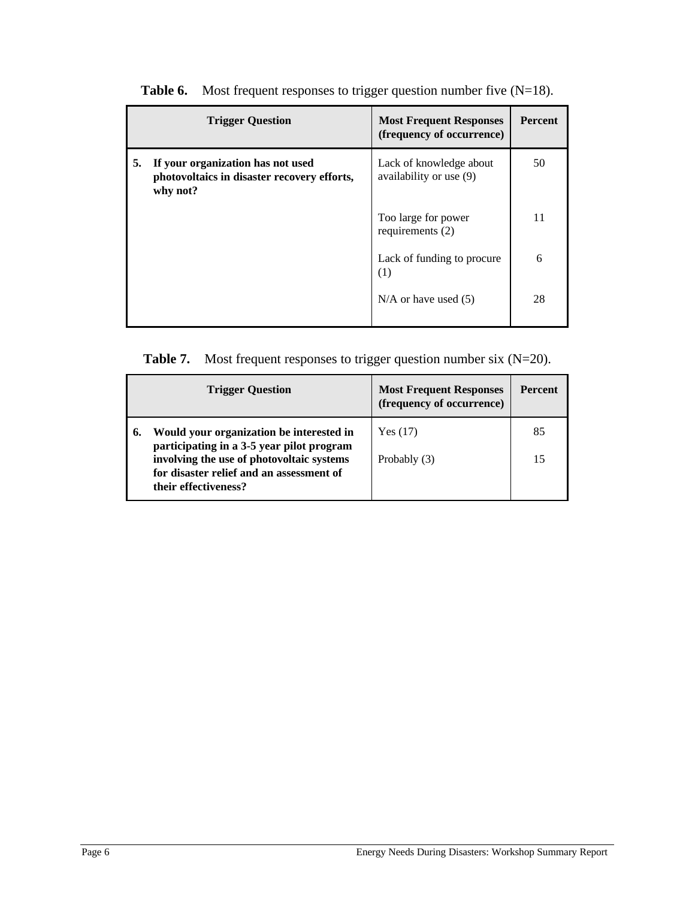|    | <b>Trigger Question</b>                                                                      | <b>Most Frequent Responses</b><br>(frequency of occurrence) | <b>Percent</b> |
|----|----------------------------------------------------------------------------------------------|-------------------------------------------------------------|----------------|
| 5. | If your organization has not used<br>photovoltaics in disaster recovery efforts,<br>why not? | Lack of knowledge about<br>availability or use (9)          | 50             |
|    |                                                                                              | Too large for power<br>requirements $(2)$                   | 11             |
|    |                                                                                              | Lack of funding to procure<br>(1)                           | 6              |
|    |                                                                                              | $N/A$ or have used $(5)$                                    | 28             |

**Table 6.** Most frequent responses to trigger question number five (N=18).

| <b>Table 7.</b> Most frequent responses to trigger question number six $(N=20)$ . |  |
|-----------------------------------------------------------------------------------|--|
|                                                                                   |  |

|    | <b>Trigger Question</b>                                                                                       | <b>Most Frequent Responses</b><br>(frequency of occurrence) | <b>Percent</b> |
|----|---------------------------------------------------------------------------------------------------------------|-------------------------------------------------------------|----------------|
| 6. | Would your organization be interested in<br>participating in a 3-5 year pilot program                         | Yes $(17)$                                                  | 85             |
|    | involving the use of photovoltaic systems<br>for disaster relief and an assessment of<br>their effectiveness? | Probably (3)                                                | 15             |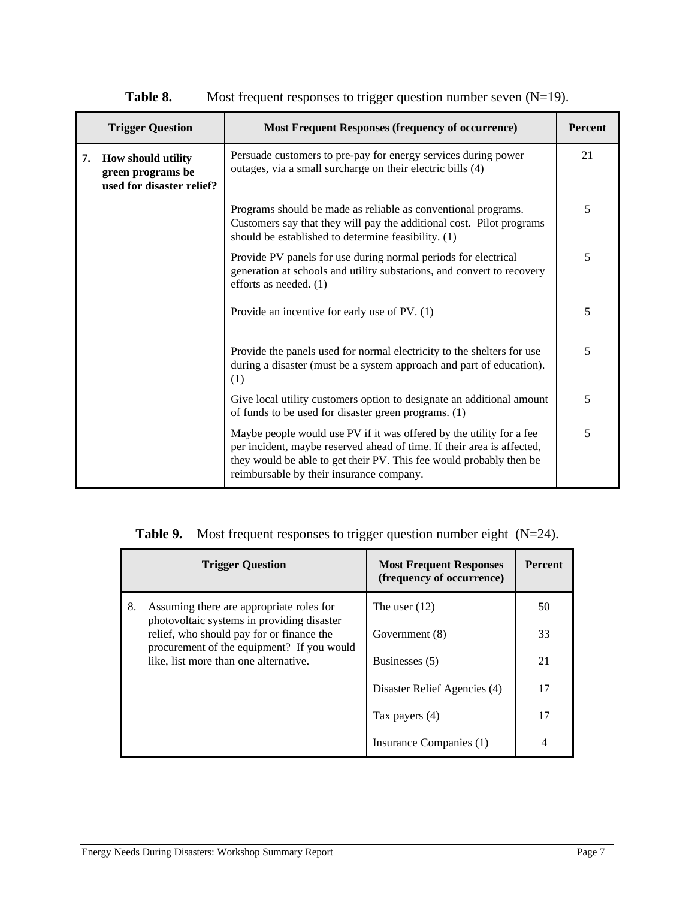|    | <b>Trigger Question</b>                                              | <b>Most Frequent Responses (frequency of occurrence)</b>                                                                                                                                                                                                          | <b>Percent</b> |
|----|----------------------------------------------------------------------|-------------------------------------------------------------------------------------------------------------------------------------------------------------------------------------------------------------------------------------------------------------------|----------------|
| 7. | How should utility<br>green programs be<br>used for disaster relief? | Persuade customers to pre-pay for energy services during power<br>outages, via a small surcharge on their electric bills (4)                                                                                                                                      | 21             |
|    |                                                                      | Programs should be made as reliable as conventional programs.<br>Customers say that they will pay the additional cost. Pilot programs<br>should be established to determine feasibility. (1)                                                                      | 5              |
|    |                                                                      | Provide PV panels for use during normal periods for electrical<br>generation at schools and utility substations, and convert to recovery<br>efforts as needed. (1)                                                                                                |                |
|    |                                                                      | Provide an incentive for early use of PV. (1)                                                                                                                                                                                                                     |                |
|    |                                                                      | Provide the panels used for normal electricity to the shelters for use<br>during a disaster (must be a system approach and part of education).<br>(1)                                                                                                             | 5              |
|    |                                                                      | Give local utility customers option to designate an additional amount<br>of funds to be used for disaster green programs. (1)                                                                                                                                     |                |
|    |                                                                      | Maybe people would use PV if it was offered by the utility for a fee<br>per incident, maybe reserved ahead of time. If their area is affected,<br>they would be able to get their PV. This fee would probably then be<br>reimbursable by their insurance company. | 5              |

**Table 8.** Most frequent responses to trigger question number seven (N=19).

|  | <b>Table 9.</b> Most frequent responses to trigger question number eight $(N=24)$ . |  |  |  |
|--|-------------------------------------------------------------------------------------|--|--|--|
|--|-------------------------------------------------------------------------------------|--|--|--|

|                                           | <b>Trigger Question</b>                                                                | <b>Most Frequent Responses</b><br>(frequency of occurrence) | <b>Percent</b> |
|-------------------------------------------|----------------------------------------------------------------------------------------|-------------------------------------------------------------|----------------|
| 8.                                        | Assuming there are appropriate roles for<br>photovoltaic systems in providing disaster | The user $(12)$                                             | 50             |
| relief, who should pay for or finance the | Government (8)                                                                         | 33                                                          |                |
|                                           | procurement of the equipment? If you would<br>like, list more than one alternative.    | Businesses (5)                                              | 21             |
|                                           |                                                                                        | Disaster Relief Agencies (4)                                | 17             |
|                                           |                                                                                        | Tax payers (4)                                              | 17             |
|                                           |                                                                                        | Insurance Companies (1)                                     | 4              |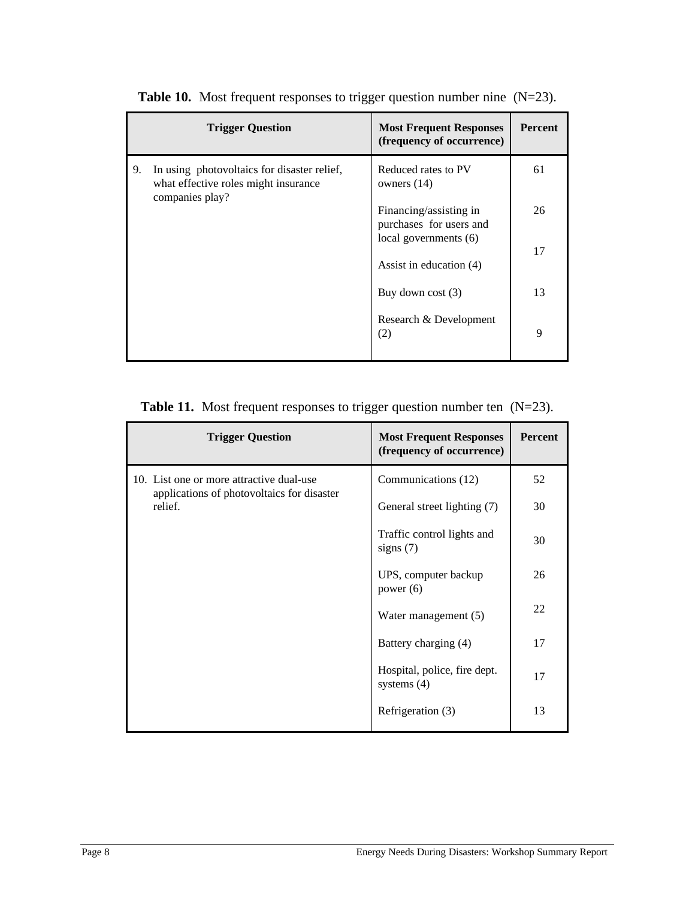|    | <b>Trigger Question</b>                                                                                | <b>Most Frequent Responses</b><br>(frequency of occurrence) | <b>Percent</b> |
|----|--------------------------------------------------------------------------------------------------------|-------------------------------------------------------------|----------------|
| 9. | In using photovoltaics for disaster relief,<br>what effective roles might insurance<br>companies play? | Reduced rates to PV<br>owners $(14)$                        | 61             |
|    |                                                                                                        | Financing/assisting in<br>purchases for users and           | 26             |
|    |                                                                                                        | local governments (6)<br>Assist in education (4)            | 17             |
|    |                                                                                                        | Buy down cost $(3)$                                         | 13             |
|    |                                                                                                        | Research & Development<br>(2)                               | 9              |

**Table 10.** Most frequent responses to trigger question number nine (N=23).

|  | <b>Table 11.</b> Most frequent responses to trigger question number ten $(N=23)$ . |  |  |  |  |  |
|--|------------------------------------------------------------------------------------|--|--|--|--|--|
|--|------------------------------------------------------------------------------------|--|--|--|--|--|

| <b>Trigger Question</b>                               | <b>Most Frequent Responses</b><br>(frequency of occurrence) | Percent |
|-------------------------------------------------------|-------------------------------------------------------------|---------|
| 10. List one or more attractive dual-use              | Communications (12)                                         | 52      |
| applications of photovoltaics for disaster<br>relief. | General street lighting (7)                                 | 30      |
|                                                       | Traffic control lights and<br>signs $(7)$                   | 30      |
|                                                       | UPS, computer backup<br>power $(6)$                         | 26      |
|                                                       | Water management (5)                                        | 22      |
|                                                       | Battery charging (4)                                        | 17      |
|                                                       | Hospital, police, fire dept.<br>systems $(4)$               | 17      |
|                                                       | Refrigeration (3)                                           | 13      |
|                                                       |                                                             |         |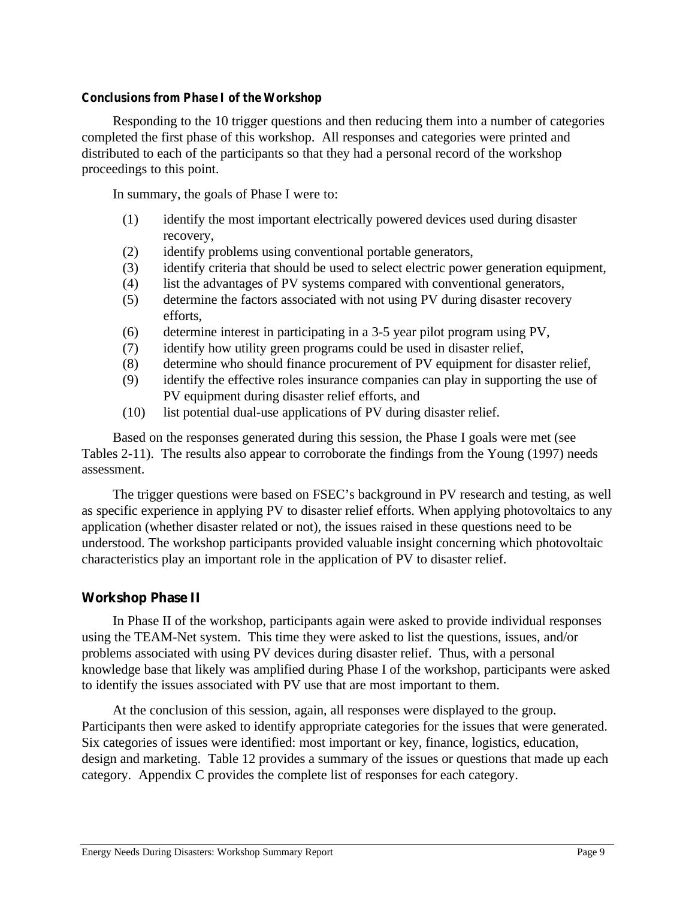#### *Conclusions from Phase I of the Workshop*

Responding to the 10 trigger questions and then reducing them into a number of categories completed the first phase of this workshop. All responses and categories were printed and distributed to each of the participants so that they had a personal record of the workshop proceedings to this point.

In summary, the goals of Phase I were to:

- (1) identify the most important electrically powered devices used during disaster recovery,
- (2) identify problems using conventional portable generators,
- (3) identify criteria that should be used to select electric power generation equipment,
- (4) list the advantages of PV systems compared with conventional generators,
- (5) determine the factors associated with not using PV during disaster recovery efforts,
- (6) determine interest in participating in a 3-5 year pilot program using PV,
- (7) identify how utility green programs could be used in disaster relief,
- (8) determine who should finance procurement of PV equipment for disaster relief,
- (9) identify the effective roles insurance companies can play in supporting the use of PV equipment during disaster relief efforts, and
- (10) list potential dual-use applications of PV during disaster relief.

Based on the responses generated during this session, the Phase I goals were met (see Tables 2-11). The results also appear to corroborate the findings from the Young (1997) needs assessment.

The trigger questions were based on FSEC's background in PV research and testing, as well as specific experience in applying PV to disaster relief efforts. When applying photovoltaics to any application (whether disaster related or not), the issues raised in these questions need to be understood. The workshop participants provided valuable insight concerning which photovoltaic characteristics play an important role in the application of PV to disaster relief.

# **Workshop Phase II**

In Phase II of the workshop, participants again were asked to provide individual responses using the TEAM-Net system. This time they were asked to list the questions, issues, and/or problems associated with using PV devices during disaster relief. Thus, with a personal knowledge base that likely was amplified during Phase I of the workshop, participants were asked to identify the issues associated with PV use that are most important to them.

At the conclusion of this session, again, all responses were displayed to the group. Participants then were asked to identify appropriate categories for the issues that were generated. Six categories of issues were identified: most important or key, finance, logistics, education, design and marketing. Table 12 provides a summary of the issues or questions that made up each category. Appendix C provides the complete list of responses for each category.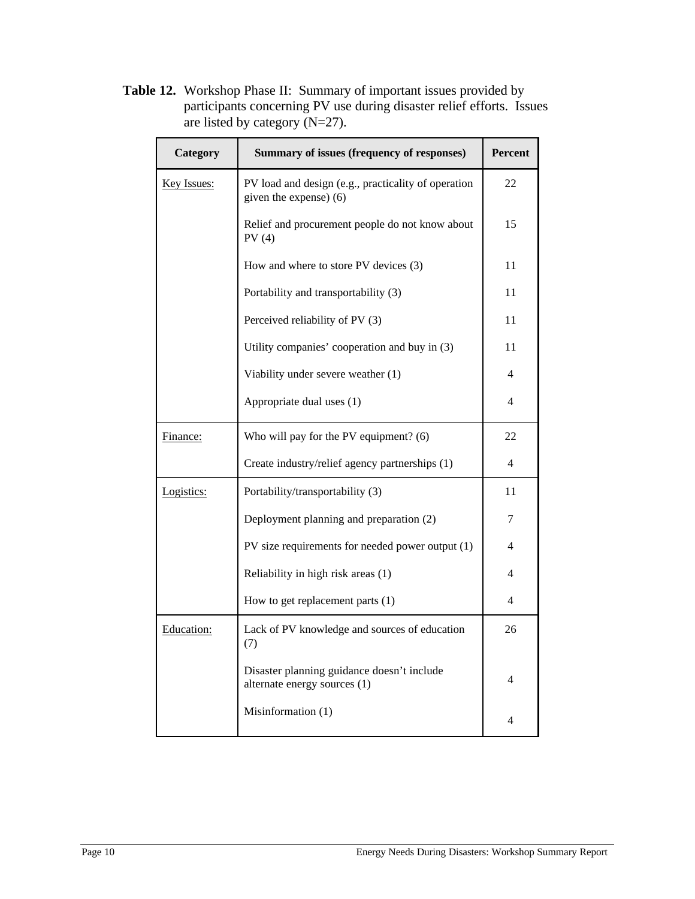**Table 12.** Workshop Phase II: Summary of important issues provided by participants concerning PV use during disaster relief efforts. Issues are listed by category (N=27).

| Category           | <b>Summary of issues (frequency of responses)</b>                             | Percent |
|--------------------|-------------------------------------------------------------------------------|---------|
| <b>Key Issues:</b> | PV load and design (e.g., practicality of operation<br>given the expense) (6) |         |
|                    | Relief and procurement people do not know about<br>PV(4)                      | 15      |
|                    | How and where to store PV devices (3)                                         | 11      |
|                    | Portability and transportability (3)                                          | 11      |
|                    | Perceived reliability of PV (3)                                               | 11      |
|                    | Utility companies' cooperation and buy in (3)                                 | 11      |
|                    | Viability under severe weather (1)                                            | 4       |
|                    | Appropriate dual uses (1)                                                     | 4       |
| Finance:           | Who will pay for the PV equipment? (6)                                        | 22      |
|                    | Create industry/relief agency partnerships (1)                                | 4       |
| Logistics:         | Portability/transportability (3)                                              | 11      |
|                    | Deployment planning and preparation (2)                                       | 7       |
|                    | PV size requirements for needed power output (1)                              | 4       |
|                    | Reliability in high risk areas (1)                                            | 4       |
|                    | How to get replacement parts (1)                                              | 4       |
| Education:         | Lack of PV knowledge and sources of education<br>(7)                          | 26      |
|                    | Disaster planning guidance doesn't include<br>alternate energy sources (1)    | 4       |
|                    | Misinformation (1)                                                            | 4       |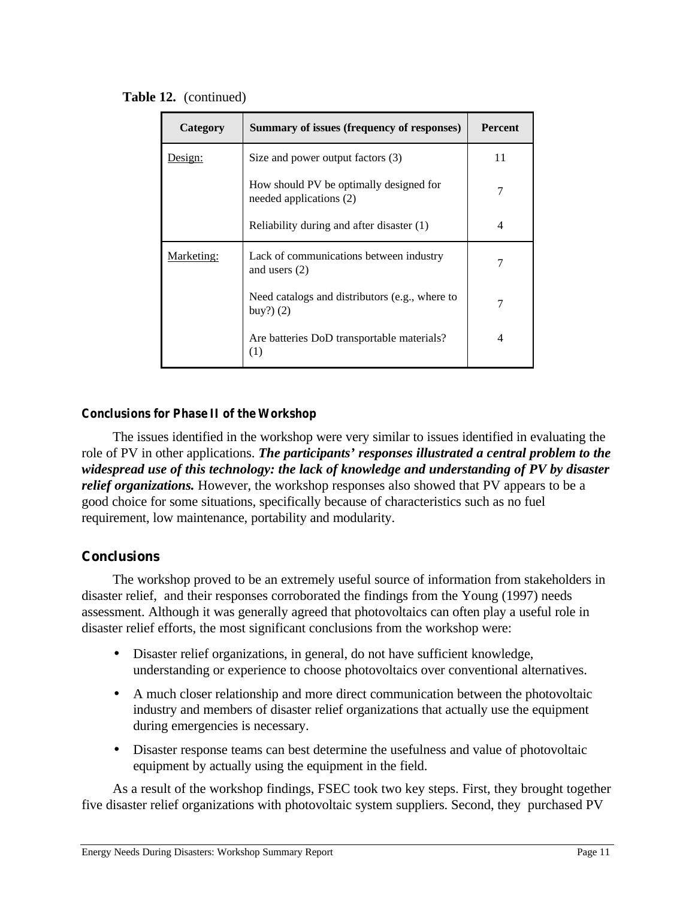| Category   | Summary of issues (frequency of responses)                         | <b>Percent</b> |
|------------|--------------------------------------------------------------------|----------------|
| Design:    | Size and power output factors (3)                                  | 11             |
|            | How should PV be optimally designed for<br>needed applications (2) | 7              |
|            | Reliability during and after disaster (1)                          | 4              |
| Marketing: | Lack of communications between industry<br>and users $(2)$         |                |
|            | Need catalogs and distributors (e.g., where to<br>buy? $)$ $(2)$   |                |
|            | Are batteries DoD transportable materials?<br>(1)                  | 4              |

**Table 12.** (continued)

# *Conclusions for Phase II of the Workshop*

The issues identified in the workshop were very similar to issues identified in evaluating the role of PV in other applications. *The participants' responses illustrated a central problem to the widespread use of this technology: the lack of knowledge and understanding of PV by disaster relief organizations.* However, the workshop responses also showed that PV appears to be a good choice for some situations, specifically because of characteristics such as no fuel requirement, low maintenance, portability and modularity.

# **Conclusions**

The workshop proved to be an extremely useful source of information from stakeholders in disaster relief, and their responses corroborated the findings from the Young (1997) needs assessment. Although it was generally agreed that photovoltaics can often play a useful role in disaster relief efforts, the most significant conclusions from the workshop were:

- Disaster relief organizations, in general, do not have sufficient knowledge, understanding or experience to choose photovoltaics over conventional alternatives.
- A much closer relationship and more direct communication between the photovoltaic industry and members of disaster relief organizations that actually use the equipment during emergencies is necessary.
- Disaster response teams can best determine the usefulness and value of photovoltaic equipment by actually using the equipment in the field.

As a result of the workshop findings, FSEC took two key steps. First, they brought together five disaster relief organizations with photovoltaic system suppliers. Second, they purchased PV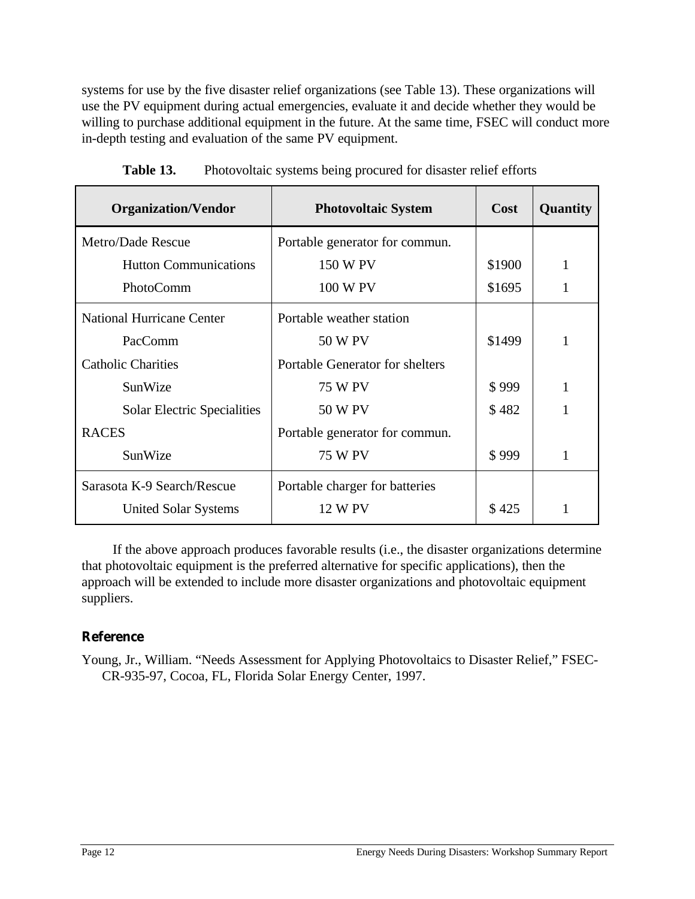systems for use by the five disaster relief organizations (see Table 13). These organizations will use the PV equipment during actual emergencies, evaluate it and decide whether they would be willing to purchase additional equipment in the future. At the same time, FSEC will conduct more in-depth testing and evaluation of the same PV equipment.

| <b>Organization/Vendor</b>         | <b>Photovoltaic System</b>      | <b>Cost</b> | Quantity |
|------------------------------------|---------------------------------|-------------|----------|
| Metro/Dade Rescue                  | Portable generator for commun.  |             |          |
| <b>Hutton Communications</b>       | 150 W PV                        | \$1900      |          |
| PhotoComm                          | 100 W PV                        | \$1695      |          |
| <b>National Hurricane Center</b>   | Portable weather station        |             |          |
| PacComm                            | 50 W PV                         | \$1499      |          |
| <b>Catholic Charities</b>          | Portable Generator for shelters |             |          |
| SunWize                            | <b>75 W PV</b>                  | \$999       |          |
| <b>Solar Electric Specialities</b> | 50 W PV                         | \$482       |          |
| <b>RACES</b>                       | Portable generator for commun.  |             |          |
| SunWize                            | <b>75 W PV</b>                  | \$999       |          |
| Sarasota K-9 Search/Rescue         | Portable charger for batteries  |             |          |
| United Solar Systems               | <b>12 W PV</b>                  | \$425       |          |

Table 13. Photovoltaic systems being procured for disaster relief efforts

If the above approach produces favorable results (i.e., the disaster organizations determine that photovoltaic equipment is the preferred alternative for specific applications), then the approach will be extended to include more disaster organizations and photovoltaic equipment suppliers.

# **Reference**

Young, Jr., William. "Needs Assessment for Applying Photovoltaics to Disaster Relief," FSEC-CR-935-97, Cocoa, FL, Florida Solar Energy Center, 1997.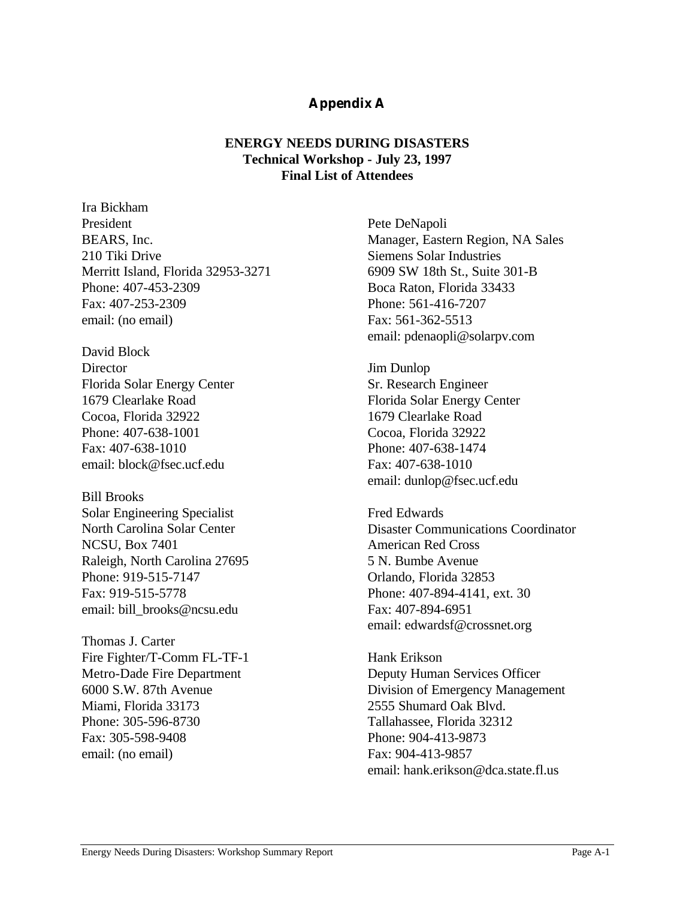# **Appendix A**

# **ENERGY NEEDS DURING DISASTERS Technical Workshop - July 23, 1997 Final List of Attendees**

Ira Bickham President BEARS, Inc. 210 Tiki Drive Merritt Island, Florida 32953-3271 Phone: 407-453-2309 Fax: 407-253-2309 email: (no email)

David Block **Director** Florida Solar Energy Center 1679 Clearlake Road Cocoa, Florida 32922 Phone: 407-638-1001 Fax: 407-638-1010 email: block@fsec.ucf.edu

Bill Brooks Solar Engineering Specialist North Carolina Solar Center NCSU, Box 7401 Raleigh, North Carolina 27695 Phone: 919-515-7147 Fax: 919-515-5778 email: bill\_brooks@ncsu.edu

Thomas J. Carter Fire Fighter/T-Comm FL-TF-1 Metro-Dade Fire Department 6000 S.W. 87th Avenue Miami, Florida 33173 Phone: 305-596-8730 Fax: 305-598-9408 email: (no email)

Pete DeNapoli Manager, Eastern Region, NA Sales Siemens Solar Industries 6909 SW 18th St., Suite 301-B Boca Raton, Florida 33433 Phone: 561-416-7207 Fax: 561-362-5513 email: pdenaopli@solarpv.com

Jim Dunlop Sr. Research Engineer Florida Solar Energy Center 1679 Clearlake Road Cocoa, Florida 32922 Phone: 407-638-1474 Fax: 407-638-1010 email: dunlop@fsec.ucf.edu

Fred Edwards Disaster Communications Coordinator American Red Cross 5 N. Bumbe Avenue Orlando, Florida 32853 Phone: 407-894-4141, ext. 30 Fax: 407-894-6951 email: edwardsf@crossnet.org

Hank Erikson Deputy Human Services Officer Division of Emergency Management 2555 Shumard Oak Blvd. Tallahassee, Florida 32312 Phone: 904-413-9873 Fax: 904-413-9857 email: hank.erikson@dca.state.fl.us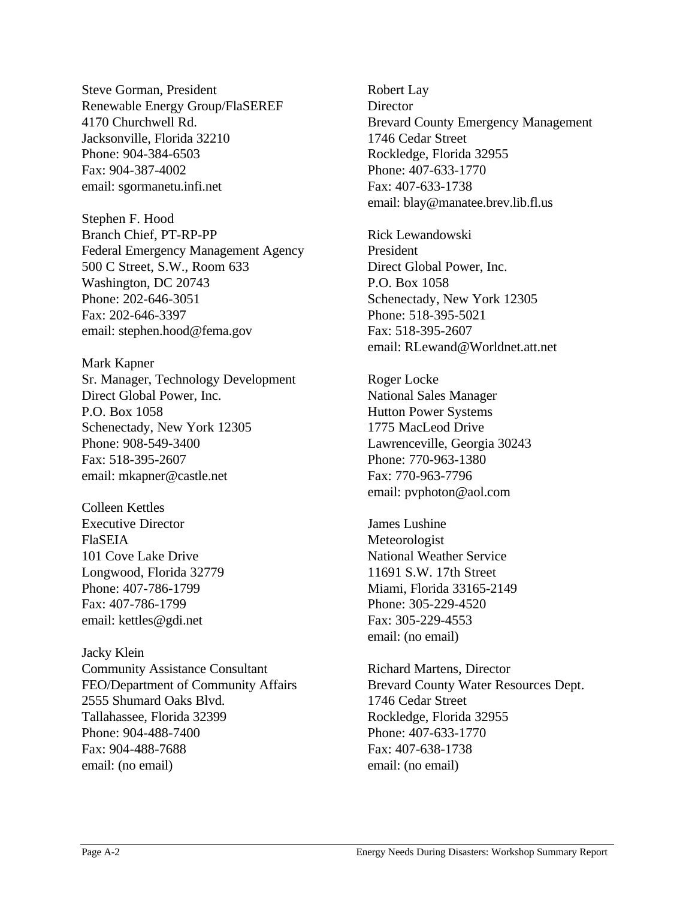Steve Gorman, President Renewable Energy Group/FlaSEREF 4170 Churchwell Rd. Jacksonville, Florida 32210 Phone: 904-384-6503 Fax: 904-387-4002 email: sgormanetu.infi.net

Stephen F. Hood Branch Chief, PT-RP-PP Federal Emergency Management Agency 500 C Street, S.W., Room 633 Washington, DC 20743 Phone: 202-646-3051 Fax: 202-646-3397 email: stephen.hood@fema.gov

Mark Kapner Sr. Manager, Technology Development Direct Global Power, Inc. P.O. Box 1058 Schenectady, New York 12305 Phone: 908-549-3400 Fax: 518-395-2607 email: mkapner@castle.net

Colleen Kettles Executive Director FlaSEIA 101 Cove Lake Drive Longwood, Florida 32779 Phone: 407-786-1799 Fax: 407-786-1799 email: kettles@gdi.net

Jacky Klein Community Assistance Consultant FEO/Department of Community Affairs 2555 Shumard Oaks Blvd. Tallahassee, Florida 32399 Phone: 904-488-7400 Fax: 904-488-7688 email: (no email)

Robert Lay **Director** Brevard County Emergency Management 1746 Cedar Street Rockledge, Florida 32955 Phone: 407-633-1770 Fax: 407-633-1738 email: blay@manatee.brev.lib.fl.us

Rick Lewandowski President Direct Global Power, Inc. P.O. Box 1058 Schenectady, New York 12305 Phone: 518-395-5021 Fax: 518-395-2607 email: RLewand@Worldnet.att.net

Roger Locke National Sales Manager Hutton Power Systems 1775 MacLeod Drive Lawrenceville, Georgia 30243 Phone: 770-963-1380 Fax: 770-963-7796 email: pvphoton@aol.com

James Lushine Meteorologist National Weather Service 11691 S.W. 17th Street Miami, Florida 33165-2149 Phone: 305-229-4520 Fax: 305-229-4553 email: (no email)

Richard Martens, Director Brevard County Water Resources Dept. 1746 Cedar Street Rockledge, Florida 32955 Phone: 407-633-1770 Fax: 407-638-1738 email: (no email)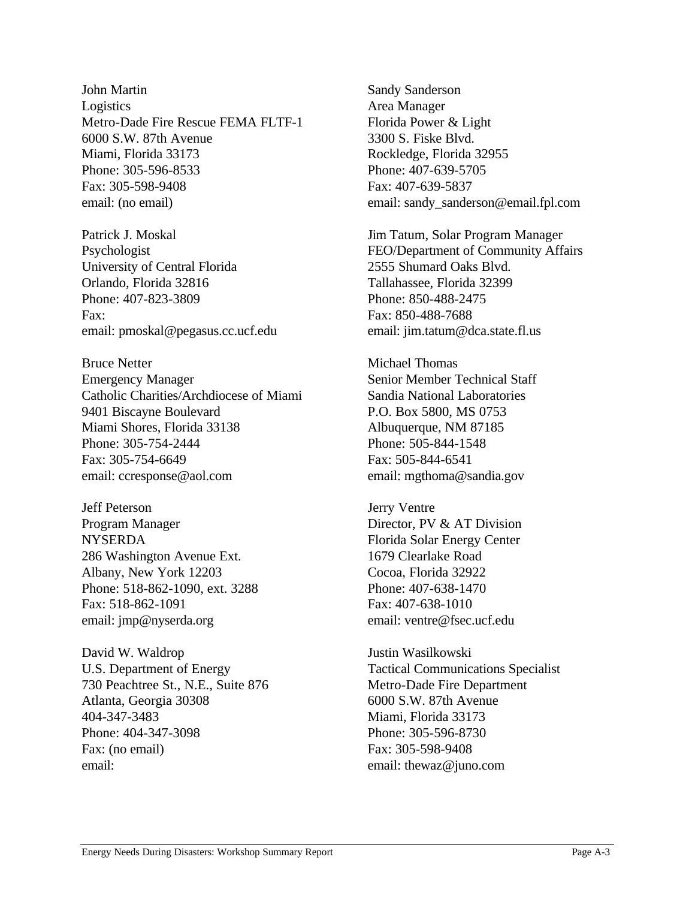John Martin Logistics Metro-Dade Fire Rescue FEMA FLTF-1 6000 S.W. 87th Avenue Miami, Florida 33173 Phone: 305-596-8533 Fax: 305-598-9408 email: (no email)

Patrick J. Moskal Psychologist University of Central Florida Orlando, Florida 32816 Phone: 407-823-3809 Fax: email: pmoskal@pegasus.cc.ucf.edu

Bruce Netter Emergency Manager Catholic Charities/Archdiocese of Miami 9401 Biscayne Boulevard Miami Shores, Florida 33138 Phone: 305-754-2444 Fax: 305-754-6649 email: ccresponse@aol.com

Jeff Peterson Program Manager **NYSERDA** 286 Washington Avenue Ext. Albany, New York 12203 Phone: 518-862-1090, ext. 3288 Fax: 518-862-1091 email: jmp@nyserda.org

David W. Waldrop U.S. Department of Energy 730 Peachtree St., N.E., Suite 876 Atlanta, Georgia 30308 404-347-3483 Phone: 404-347-3098 Fax: (no email) email:

Sandy Sanderson Area Manager Florida Power & Light 3300 S. Fiske Blvd. Rockledge, Florida 32955 Phone: 407-639-5705 Fax: 407-639-5837 email: sandy\_sanderson@email.fpl.com

Jim Tatum, Solar Program Manager FEO/Department of Community Affairs 2555 Shumard Oaks Blvd. Tallahassee, Florida 32399 Phone: 850-488-2475 Fax: 850-488-7688 email: jim.tatum@dca.state.fl.us

Michael Thomas Senior Member Technical Staff Sandia National Laboratories P.O. Box 5800, MS 0753 Albuquerque, NM 87185 Phone: 505-844-1548 Fax: 505-844-6541 email: mgthoma@sandia.gov

Jerry Ventre Director, PV & AT Division Florida Solar Energy Center 1679 Clearlake Road Cocoa, Florida 32922 Phone: 407-638-1470 Fax: 407-638-1010 email: ventre@fsec.ucf.edu

Justin Wasilkowski Tactical Communications Specialist Metro-Dade Fire Department 6000 S.W. 87th Avenue Miami, Florida 33173 Phone: 305-596-8730 Fax: 305-598-9408 email: thewaz@juno.com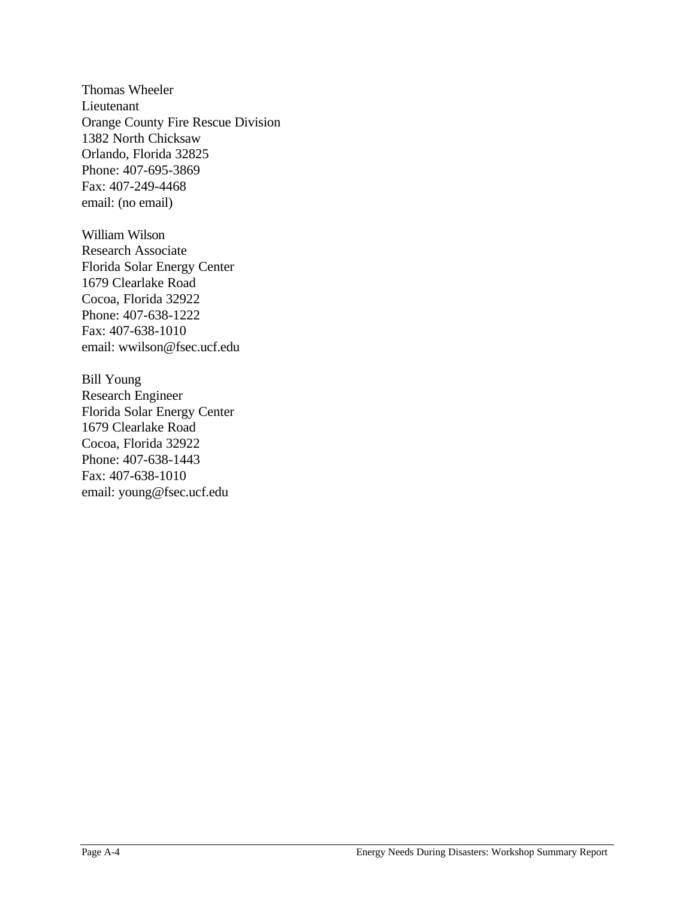Thomas Wheeler Lieutenant Orange County Fire Rescue Division 1382 North Chicksaw Orlando, Florida 32825 Phone: 407-695-3869 Fax: 407-249-4468 email: (no email)

William Wilson Research Associate Florida Solar Energy Center 1679 Clearlake Road Cocoa, Florida 32922 Phone: 407-638-1222 Fax: 407-638-1010 email: wwilson@fsec.ucf.edu

Bill Young Research Engineer Florida Solar Energy Center 1679 Clearlake Road Cocoa, Florida 32922 Phone: 407-638-1443 Fax: 407-638-1010 email: young@fsec.ucf.edu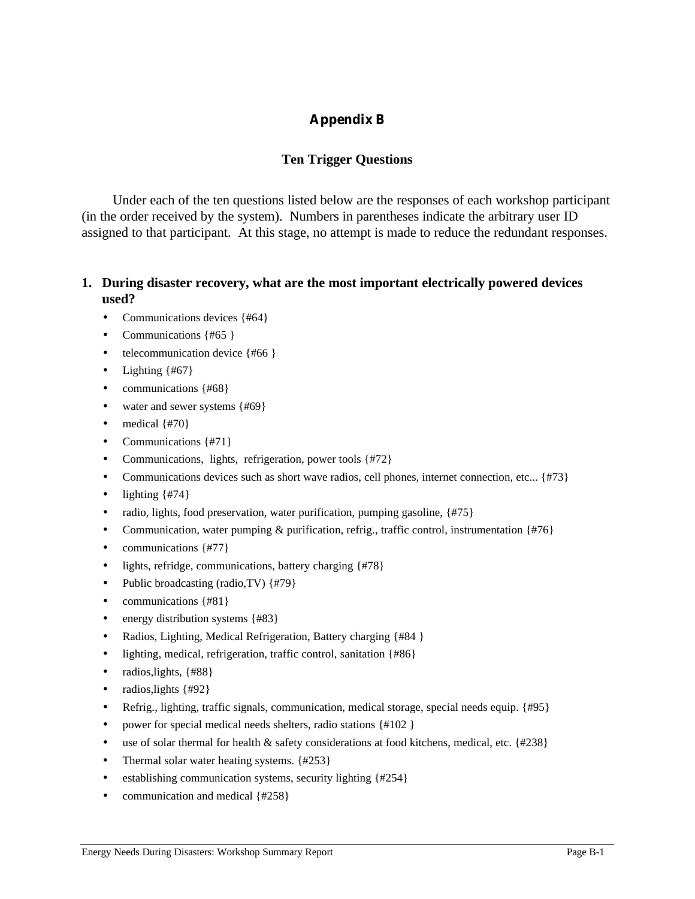# **Appendix B**

# **Ten Trigger Questions**

Under each of the ten questions listed below are the responses of each workshop participant (in the order received by the system). Numbers in parentheses indicate the arbitrary user ID assigned to that participant. At this stage, no attempt is made to reduce the redundant responses.

## **1. During disaster recovery, what are the most important electrically powered devices used?**

- Communications devices {#64}
- Communications {#65 }
- telecommunication device {#66 }
- Lighting  $\{#67\}$
- communications {#68}
- water and sewer systems {#69}
- medical  $\{$ #70}
- Communications {#71}
- Communications, lights, refrigeration, power tools {#72}
- Communications devices such as short wave radios, cell phones, internet connection, etc... {#73}
- lighting  $\{$  #74 $\}$
- radio, lights, food preservation, water purification, pumping gasoline, {#75}
- Communication, water pumping  $\&$  purification, refrig., traffic control, instrumentation {#76}
- communications {#77}
- lights, refridge, communications, battery charging {#78}
- Public broadcasting (radio, TV) {#79}
- communications {#81}
- energy distribution systems {#83}
- Radios, Lighting, Medical Refrigeration, Battery charging {#84 }
- lighting, medical, refrigeration, traffic control, sanitation {#86}
- radios, lights, {#88}
- radios, lights  $\{$  #92  $\}$
- Refrig., lighting, traffic signals, communication, medical storage, special needs equip. {#95}
- power for special medical needs shelters, radio stations {#102 }
- use of solar thermal for health & safety considerations at food kitchens, medical, etc.  $\{4238\}$
- Thermal solar water heating systems. {#253}
- establishing communication systems, security lighting {#254}
- communication and medical {#258}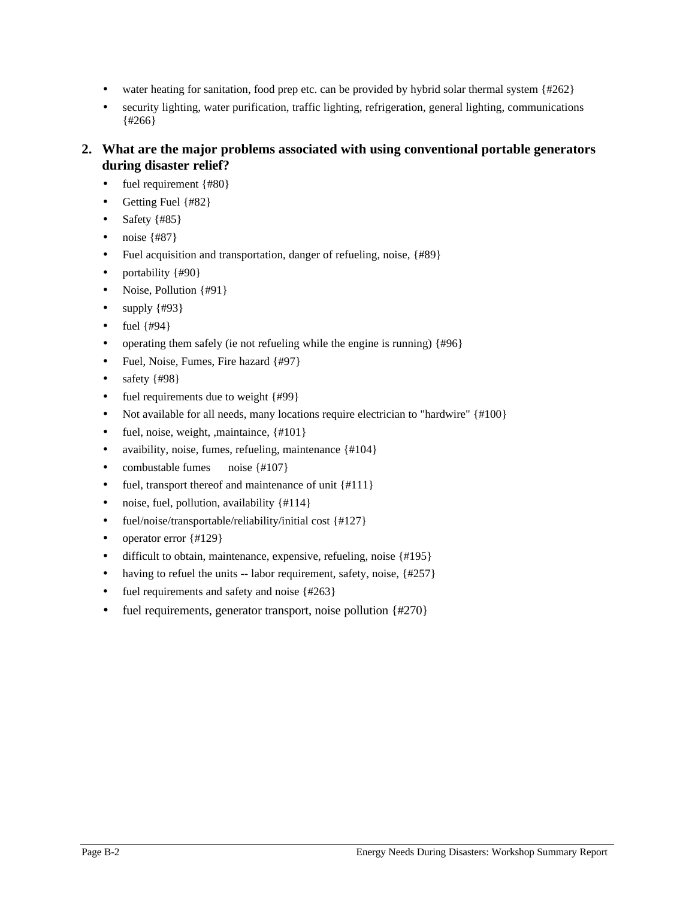- water heating for sanitation, food prep etc. can be provided by hybrid solar thermal system  $\{#262\}$
- security lighting, water purification, traffic lighting, refrigeration, general lighting, communications {#266}

# **2. What are the major problems associated with using conventional portable generators during disaster relief?**

- fuel requirement  ${#80}$
- Getting Fuel {#82}
- Safety  $\{#85\}$
- noise  $\{#87\}$
- Fuel acquisition and transportation, danger of refueling, noise, {#89}
- portability  ${#90}$
- Noise, Pollution {#91}
- supply  $\{$  #93 $\}$
- fuel  $\{$  #94 $\}$
- operating them safely (ie not refueling while the engine is running) {#96}
- Fuel, Noise, Fumes, Fire hazard {#97}
- safety  ${#98}$
- fuel requirements due to weight {#99}
- Not available for all needs, many locations require electrician to "hardwire" {#100}
- fuel, noise, weight, ,maintaince,  $\{\#101\}$
- avaibility, noise, fumes, refueling, maintenance {#104}
- combustable fumes noise {#107}
- fuel, transport thereof and maintenance of unit {#111}
- noise, fuel, pollution, availability {#114}
- fuel/noise/transportable/reliability/initial cost {#127}
- operator error  $\{\text{\#}129\}$
- difficult to obtain, maintenance, expensive, refueling, noise {#195}
- having to refuel the units  $-$  labor requirement, safety, noise,  $\{\#257\}$
- fuel requirements and safety and noise {#263}
- fuel requirements, generator transport, noise pollution {#270}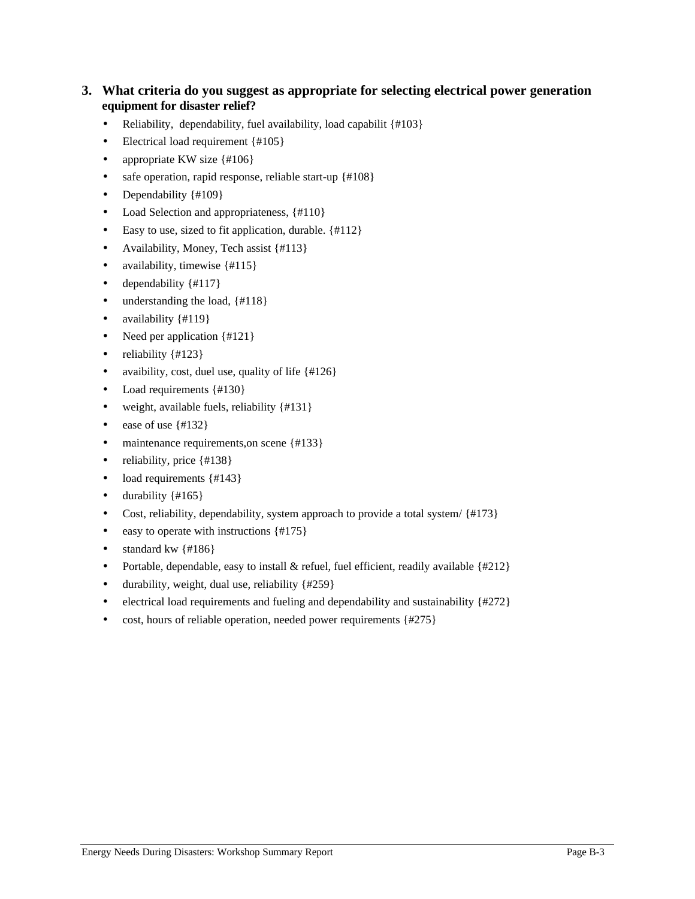#### **3. What criteria do you suggest as appropriate for selecting electrical power generation equipment for disaster relief?**

- Reliability, dependability, fuel availability, load capabilit {#103}
- Electrical load requirement {#105}
- appropriate KW size {#106}
- safe operation, rapid response, reliable start-up {#108}
- Dependability  $\{ \# 109 \}$
- Load Selection and appropriateness,  $\{\text{\#}110\}$
- Easy to use, sized to fit application, durable.  $\{\text{\#}112\}$
- Availability, Money, Tech assist {#113}
- availability, timewise  $\{\text{\#}115\}$
- dependability  $\{ \# 117 \}$
- understanding the load,  $\{ \text{\#}118 \}$
- availability {#119}
- Need per application {#121}
- reliability  $\{$  #123 $\}$
- avaibility, cost, duel use, quality of life  $\{\#126\}$
- Load requirements {#130}
- weight, available fuels, reliability {#131}
- ease of use  $\{\text{\#}132\}$
- maintenance requirements, on scene {#133}
- reliability, price  $\{\text{\#}138\}$
- load requirements {#143}
- durability  $\{ \text{\#} 165 \}$
- Cost, reliability, dependability, system approach to provide a total system/ $\{$ #173 $\}$
- easy to operate with instructions  $\{ \text{\#}175 \}$
- standard kw  $\{ \text{\#}186 \}$
- Portable, dependable, easy to install  $\&$  refuel, fuel efficient, readily available {#212}
- durability, weight, dual use, reliability  $\{\#259\}$
- electrical load requirements and fueling and dependability and sustainability {#272}
- cost, hours of reliable operation, needed power requirements {#275}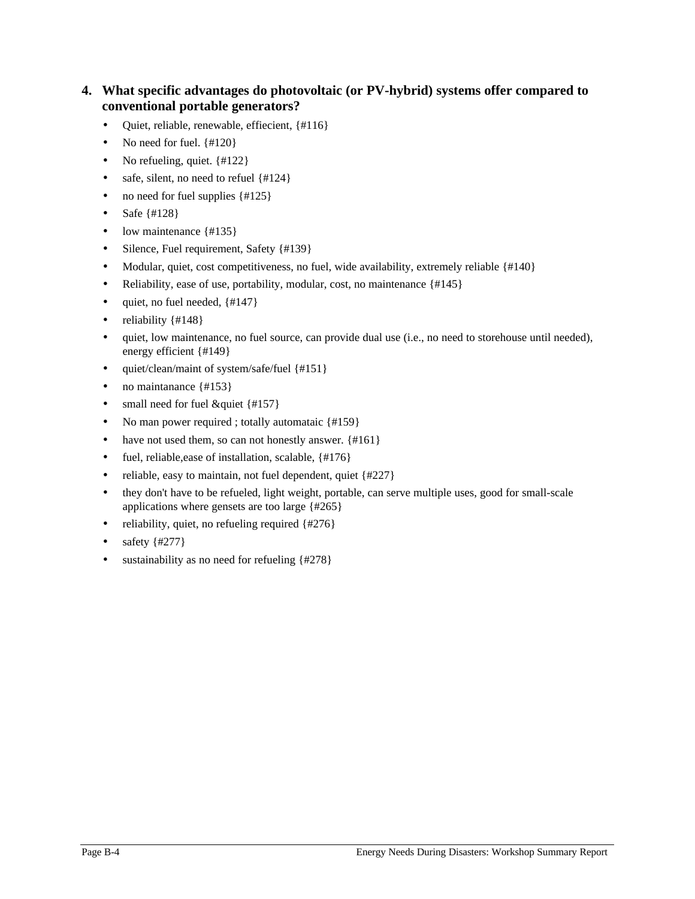# **4. What specific advantages do photovoltaic (or PV-hybrid) systems offer compared to conventional portable generators?**

- Quiet, reliable, renewable, effiecient, {#116}
- No need for fuel.  $\{#120\}$
- No refueling, quiet. {#122}
- safe, silent, no need to refuel {#124}
- no need for fuel supplies {#125}
- Safe  $\{ \#128 \}$
- low maintenance {#135}
- Silence, Fuel requirement, Safety {#139}
- Modular, quiet, cost competitiveness, no fuel, wide availability, extremely reliable {#140}
- Reliability, ease of use, portability, modular, cost, no maintenance {#145}
- quiet, no fuel needed,  $\{#147\}$
- reliability  $\{ \text{\#} 148 \}$
- quiet, low maintenance, no fuel source, can provide dual use (i.e., no need to storehouse until needed), energy efficient {#149}
- quiet/clean/maint of system/safe/fuel {#151}
- no maintanance {#153}
- small need for fuel &quiet {#157}
- No man power required ; totally automataic {#159}
- have not used them, so can not honestly answer. {#161}
- fuel, reliable, ease of installation, scalable, {#176}
- reliable, easy to maintain, not fuel dependent, quiet {#227}
- they don't have to be refueled, light weight, portable, can serve multiple uses, good for small-scale applications where gensets are too large {#265}
- reliability, quiet, no refueling required {#276}
- safety  $\{#277\}$
- sustainability as no need for refueling  ${#278}$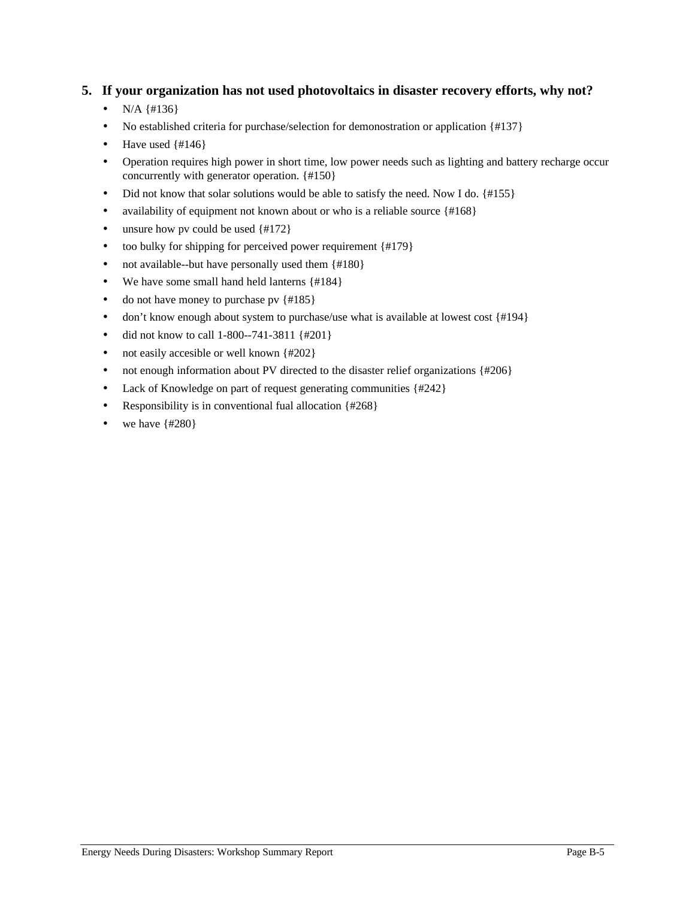## **5. If your organization has not used photovoltaics in disaster recovery efforts, why not?**

- $N/A$  {#136}
- No established criteria for purchase/selection for demonostration or application {#137}
- Have used  $\{#146\}$
- Operation requires high power in short time, low power needs such as lighting and battery recharge occur concurrently with generator operation. {#150}
- Did not know that solar solutions would be able to satisfy the need. Now I do. {#155}
- availability of equipment not known about or who is a reliable source {#168}
- unsure how pv could be used  $\{#172\}$
- too bulky for shipping for perceived power requirement {#179}
- not available--but have personally used them {#180}
- We have some small hand held lanterns {#184}
- do not have money to purchase pv  ${#185}$
- don't know enough about system to purchase/use what is available at lowest cost  $\{\#194\}$
- did not know to call 1-800--741-3811 {#201}
- not easily accesible or well known {#202}
- not enough information about PV directed to the disaster relief organizations {#206}
- Lack of Knowledge on part of request generating communities {#242}
- Responsibility is in conventional fual allocation {#268}
- we have  $\{\#280\}$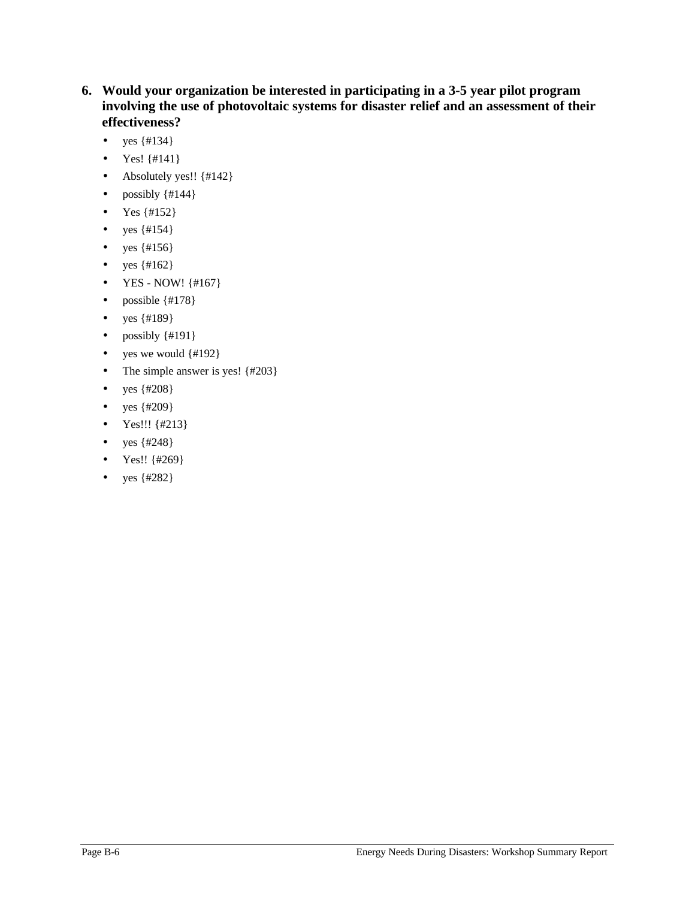- **6. Would your organization be interested in participating in a 3-5 year pilot program involving the use of photovoltaic systems for disaster relief and an assessment of their effectiveness?**
	- yes  $\{ \# 134 \}$
	- Yes!  $\{ \# 141 \}$
	- Absolutely yes!! {#142}
	- possibly  $\{\#144\}$
	- Yes  $\{ \# 152 \}$
	- yes  $\{ \#154 \}$
	- yes  $\{#156\}$
	- yes  $\{ \text{\#}162 \}$
	- YES NOW! {#167}
	- possible  $\{\text{\#}178\}$
	- yes  $\{ \#189 \}$
	- possibly {#191}
	- yes we would  $\{\text{\#}192\}$
	- The simple answer is yes! {#203}
	- yes  $\{ \#208 \}$
	- yes  $\{ \#209 \}$
	- Yes!!! {#213}
	- yes {#248}
	- Yes!! {#269}
	- yes  $\{ \#282 \}$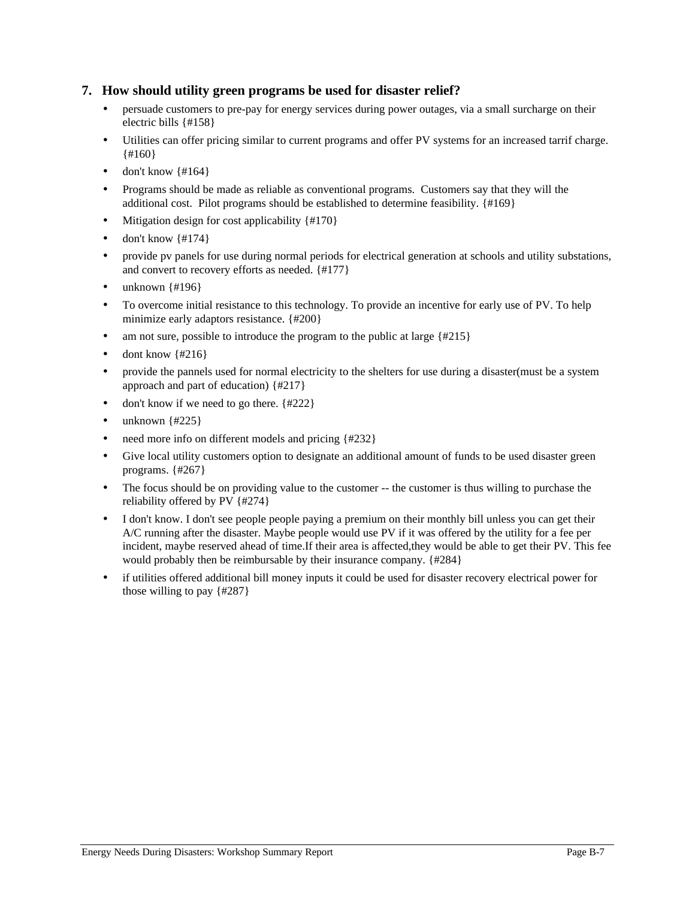#### **7. How should utility green programs be used for disaster relief?**

- persuade customers to pre-pay for energy services during power outages, via a small surcharge on their electric bills {#158}
- Utilities can offer pricing similar to current programs and offer PV systems for an increased tarrif charge. {#160}
- don't know  $\{ \#164 \}$
- Programs should be made as reliable as conventional programs. Customers say that they will the additional cost. Pilot programs should be established to determine feasibility. {#169}
- Mitigation design for cost applicability {#170}
- $\bullet$  don't know  $\{\#174\}$
- provide pv panels for use during normal periods for electrical generation at schools and utility substations, and convert to recovery efforts as needed. {#177}
- unknown  $\{#196\}$
- To overcome initial resistance to this technology. To provide an incentive for early use of PV. To help minimize early adaptors resistance. {#200}
- am not sure, possible to introduce the program to the public at large  $\{\text{\#215}\}$
- $\bullet$  dont know  $\{ \#216 \}$
- provide the pannels used for normal electricity to the shelters for use during a disaster(must be a system approach and part of education) {#217}
- don't know if we need to go there.  ${#222}$
- unknown  $\{#225\}$
- need more info on different models and pricing {#232}
- Give local utility customers option to designate an additional amount of funds to be used disaster green programs. {#267}
- The focus should be on providing value to the customer -- the customer is thus willing to purchase the reliability offered by PV {#274}
- I don't know. I don't see people people paying a premium on their monthly bill unless you can get their A/C running after the disaster. Maybe people would use PV if it was offered by the utility for a fee per incident, maybe reserved ahead of time.If their area is affected,they would be able to get their PV. This fee would probably then be reimbursable by their insurance company. {#284}
- if utilities offered additional bill money inputs it could be used for disaster recovery electrical power for those willing to pay {#287}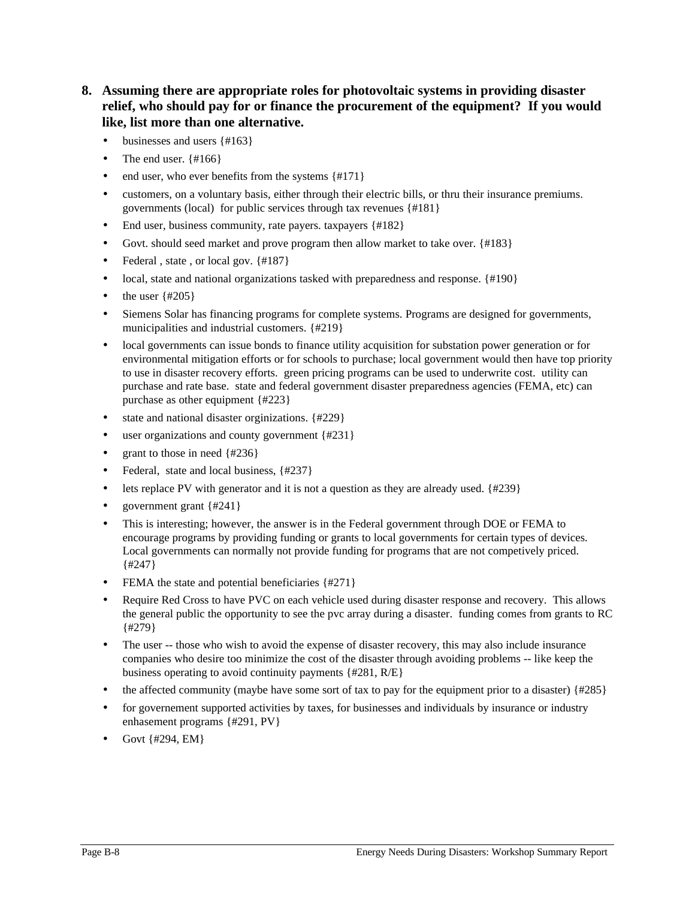# **8. Assuming there are appropriate roles for photovoltaic systems in providing disaster relief, who should pay for or finance the procurement of the equipment? If you would like, list more than one alternative.**

- businesses and users {#163}
- The end user.  $\{#166\}$
- end user, who ever benefits from the systems  $\{\#171\}$
- customers, on a voluntary basis, either through their electric bills, or thru their insurance premiums. governments (local) for public services through tax revenues {#181}
- End user, business community, rate payers. taxpayers {#182}
- Govt. should seed market and prove program then allow market to take over. {#183}
- Federal, state, or local gov.  $\{#187\}$
- local, state and national organizations tasked with preparedness and response.  $\{ \text{\#190} \}$
- the user  $\{4205\}$
- Siemens Solar has financing programs for complete systems. Programs are designed for governments, municipalities and industrial customers. {#219}
- local governments can issue bonds to finance utility acquisition for substation power generation or for environmental mitigation efforts or for schools to purchase; local government would then have top priority to use in disaster recovery efforts. green pricing programs can be used to underwrite cost. utility can purchase and rate base. state and federal government disaster preparedness agencies (FEMA, etc) can purchase as other equipment {#223}
- state and national disaster orginizations. {#229}
- user organizations and county government  ${#231}$
- grant to those in need  $\{4236\}$
- Federal, state and local business, {#237}
- lets replace PV with generator and it is not a question as they are already used.  $\{4239\}$
- government grant  $\{#241\}$
- This is interesting; however, the answer is in the Federal government through DOE or FEMA to encourage programs by providing funding or grants to local governments for certain types of devices. Local governments can normally not provide funding for programs that are not competively priced. {#247}
- FEMA the state and potential beneficiaries {#271}
- Require Red Cross to have PVC on each vehicle used during disaster response and recovery. This allows the general public the opportunity to see the pvc array during a disaster. funding comes from grants to RC {#279}
- The user -- those who wish to avoid the expense of disaster recovery, this may also include insurance companies who desire too minimize the cost of the disaster through avoiding problems -- like keep the business operating to avoid continuity payments {#281, R/E}
- the affected community (maybe have some sort of tax to pay for the equipment prior to a disaster)  $\{4285\}$
- for governement supported activities by taxes, for businesses and individuals by insurance or industry enhasement programs {#291, PV}
- Govt {#294, EM}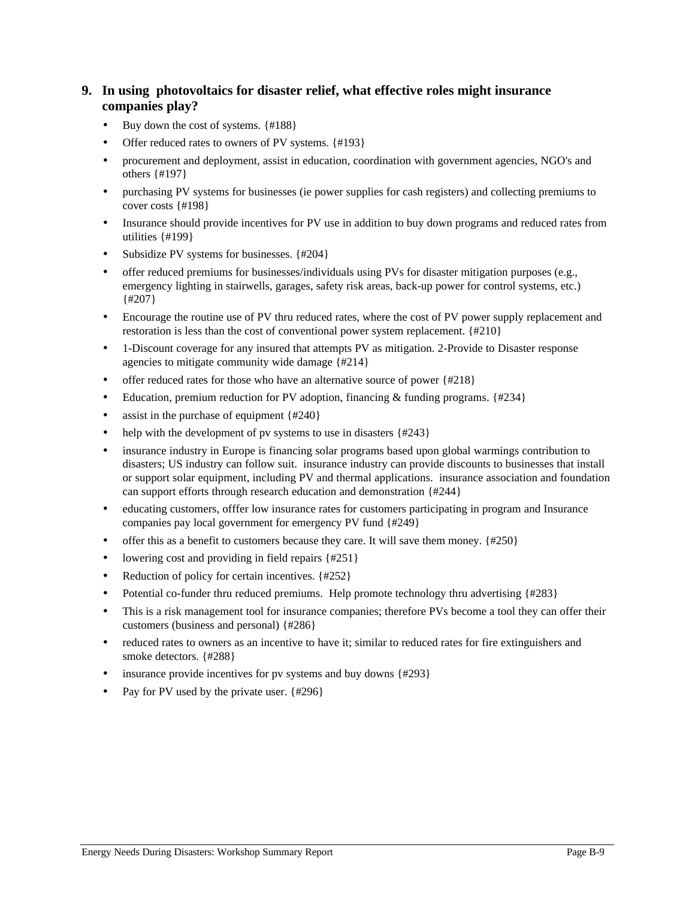# **9. In using photovoltaics for disaster relief, what effective roles might insurance companies play?**

- Buy down the cost of systems. {#188}
- Offer reduced rates to owners of PV systems. {#193}
- procurement and deployment, assist in education, coordination with government agencies, NGO's and others {#197}
- purchasing PV systems for businesses (ie power supplies for cash registers) and collecting premiums to cover costs {#198}
- Insurance should provide incentives for PV use in addition to buy down programs and reduced rates from utilities {#199}
- Subsidize PV systems for businesses. {#204}
- offer reduced premiums for businesses/individuals using PVs for disaster mitigation purposes (e.g., emergency lighting in stairwells, garages, safety risk areas, back-up power for control systems, etc.) {#207}
- Encourage the routine use of PV thru reduced rates, where the cost of PV power supply replacement and restoration is less than the cost of conventional power system replacement. {#210}
- 1-Discount coverage for any insured that attempts PV as mitigation. 2-Provide to Disaster response agencies to mitigate community wide damage {#214}
- offer reduced rates for those who have an alternative source of power  $\{\#218\}$
- Education, premium reduction for PV adoption, financing & funding programs.  $\{#234\}$
- assist in the purchase of equipment {#240}
- help with the development of pv systems to use in disasters  $\{\text{\#243}\}$
- insurance industry in Europe is financing solar programs based upon global warmings contribution to disasters; US industry can follow suit. insurance industry can provide discounts to businesses that install or support solar equipment, including PV and thermal applications. insurance association and foundation can support efforts through research education and demonstration {#244}
- educating customers, offfer low insurance rates for customers participating in program and Insurance companies pay local government for emergency PV fund {#249}
- offer this as a benefit to customers because they care. It will save them money.  $\{#250\}$
- lowering cost and providing in field repairs {#251}
- Reduction of policy for certain incentives. {#252}
- Potential co-funder thru reduced premiums. Help promote technology thru advertising {#283}
- This is a risk management tool for insurance companies; therefore PVs become a tool they can offer their customers (business and personal) {#286}
- reduced rates to owners as an incentive to have it; similar to reduced rates for fire extinguishers and smoke detectors. {#288}
- insurance provide incentives for pv systems and buy downs {#293}
- Pay for PV used by the private user.  $\{4296\}$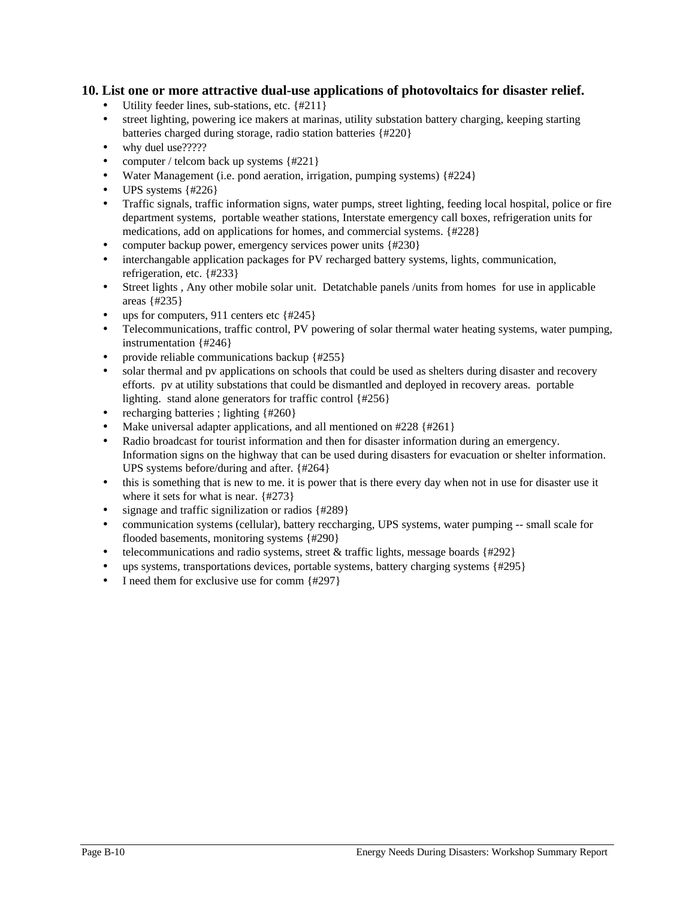#### **10. List one or more attractive dual-use applications of photovoltaics for disaster relief.**

- Utility feeder lines, sub-stations, etc. {#211}
- street lighting, powering ice makers at marinas, utility substation battery charging, keeping starting batteries charged during storage, radio station batteries {#220}
- why duel use?????
- computer / telcom back up systems  $\{\#221\}$
- Water Management (i.e. pond aeration, irrigation, pumping systems) {#224}
- UPS systems {#226}
- Traffic signals, traffic information signs, water pumps, street lighting, feeding local hospital, police or fire department systems, portable weather stations, Interstate emergency call boxes, refrigeration units for medications, add on applications for homes, and commercial systems. {#228}
- computer backup power, emergency services power units {#230}
- interchangable application packages for PV recharged battery systems, lights, communication, refrigeration, etc. {#233}
- Street lights, Any other mobile solar unit. Detatchable panels /units from homes for use in applicable areas {#235}
- ups for computers, 911 centers etc  $\{\text{\#245}\}$
- Telecommunications, traffic control, PV powering of solar thermal water heating systems, water pumping, instrumentation {#246}
- provide reliable communications backup {#255}
- solar thermal and pv applications on schools that could be used as shelters during disaster and recovery efforts. pv at utility substations that could be dismantled and deployed in recovery areas. portable lighting. stand alone generators for traffic control {#256}
- recharging batteries; lighting {#260}
- Make universal adapter applications, and all mentioned on  $#228$  { $#261$ }
- Radio broadcast for tourist information and then for disaster information during an emergency. Information signs on the highway that can be used during disasters for evacuation or shelter information. UPS systems before/during and after. {#264}
- this is something that is new to me. it is power that is there every day when not in use for disaster use it where it sets for what is near. {#273}
- signage and traffic signilization or radios  $\{4289\}$
- communication systems (cellular), battery reccharging, UPS systems, water pumping -- small scale for flooded basements, monitoring systems {#290}
- telecommunications and radio systems, street  $&$  traffic lights, message boards  $\{#292\}$
- ups systems, transportations devices, portable systems, battery charging systems {#295}
- I need them for exclusive use for comm {#297}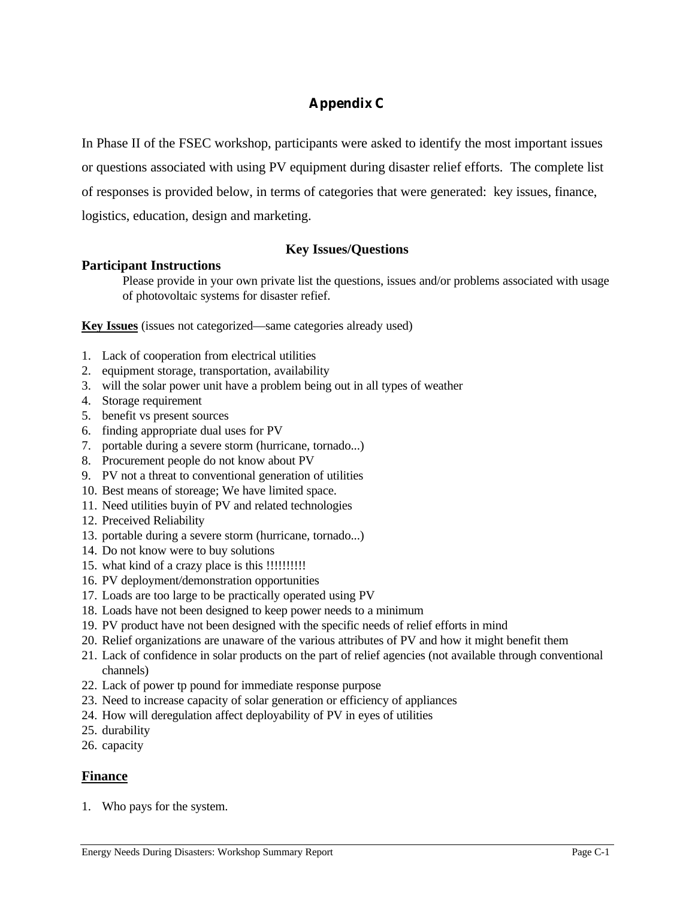# **Appendix C**

In Phase II of the FSEC workshop, participants were asked to identify the most important issues

or questions associated with using PV equipment during disaster relief efforts. The complete list

of responses is provided below, in terms of categories that were generated: key issues, finance,

logistics, education, design and marketing.

# **Key Issues/Questions**

## **Participant Instructions**

Please provide in your own private list the questions, issues and/or problems associated with usage of photovoltaic systems for disaster refief.

**Key Issues** (issues not categorized—same categories already used)

- 1. Lack of cooperation from electrical utilities
- 2. equipment storage, transportation, availability
- 3. will the solar power unit have a problem being out in all types of weather
- 4. Storage requirement
- 5. benefit vs present sources
- 6. finding appropriate dual uses for PV
- 7. portable during a severe storm (hurricane, tornado...)
- 8. Procurement people do not know about PV
- 9. PV not a threat to conventional generation of utilities
- 10. Best means of storeage; We have limited space.
- 11. Need utilities buyin of PV and related technologies
- 12. Preceived Reliability
- 13. portable during a severe storm (hurricane, tornado...)
- 14. Do not know were to buy solutions
- 15. what kind of a crazy place is this !!!!!!!!!!
- 16. PV deployment/demonstration opportunities
- 17. Loads are too large to be practically operated using PV
- 18. Loads have not been designed to keep power needs to a minimum
- 19. PV product have not been designed with the specific needs of relief efforts in mind
- 20. Relief organizations are unaware of the various attributes of PV and how it might benefit them
- 21. Lack of confidence in solar products on the part of relief agencies (not available through conventional channels)
- 22. Lack of power tp pound for immediate response purpose
- 23. Need to increase capacity of solar generation or efficiency of appliances
- 24. How will deregulation affect deployability of PV in eyes of utilities
- 25. durability
- 26. capacity

# **Finance**

1. Who pays for the system.